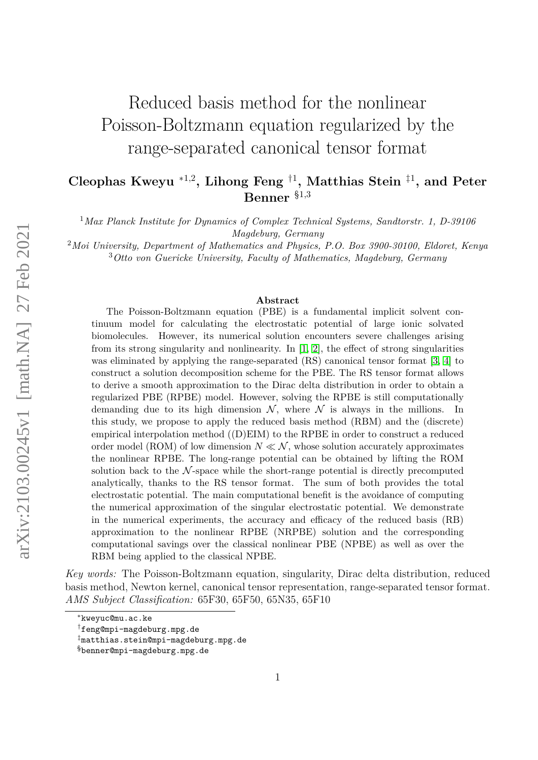# Reduced basis method for the nonlinear Poisson-Boltzmann equation regularized by the range-separated canonical tensor format

### **Cleophas Kweyu** ∗1,2**, Lihong Feng** †1 **, Matthias Stein** ‡1 **, and Peter Benner** §1,3

<sup>1</sup>*Max Planck Institute for Dynamics of Complex Technical Systems, Sandtorstr. 1, D-39106 Magdeburg, Germany*

<sup>2</sup>*Moi University, Department of Mathematics and Physics, P.O. Box 3900-30100, Eldoret, Kenya* <sup>3</sup>*Otto von Guericke University, Faculty of Mathematics, Magdeburg, Germany*

#### **Abstract**

The Poisson-Boltzmann equation (PBE) is a fundamental implicit solvent continuum model for calculating the electrostatic potential of large ionic solvated biomolecules. However, its numerical solution encounters severe challenges arising from its strong singularity and nonlinearity. In  $[1, 2]$  $[1, 2]$ , the effect of strong singularities was eliminated by applying the range-separated (RS) canonical tensor format [\[3,](#page-21-2) [4\]](#page-21-3) to construct a solution decomposition scheme for the PBE. The RS tensor format allows to derive a smooth approximation to the Dirac delta distribution in order to obtain a regularized PBE (RPBE) model. However, solving the RPBE is still computationally demanding due to its high dimension  $\mathcal N$ , where  $\mathcal N$  is always in the millions. In this study, we propose to apply the reduced basis method (RBM) and the (discrete) empirical interpolation method ((D)EIM) to the RPBE in order to construct a reduced order model (ROM) of low dimension  $N \ll N$ , whose solution accurately approximates the nonlinear RPBE. The long-range potential can be obtained by lifting the ROM solution back to the  $\mathcal N$ -space while the short-range potential is directly precomputed analytically, thanks to the RS tensor format. The sum of both provides the total electrostatic potential. The main computational benefit is the avoidance of computing the numerical approximation of the singular electrostatic potential. We demonstrate in the numerical experiments, the accuracy and efficacy of the reduced basis (RB) approximation to the nonlinear RPBE (NRPBE) solution and the corresponding computational savings over the classical nonlinear PBE (NPBE) as well as over the RBM being applied to the classical NPBE.

*Key words:* The Poisson-Boltzmann equation, singularity, Dirac delta distribution, reduced basis method, Newton kernel, canonical tensor representation, range-separated tensor format. *AMS Subject Classification:* 65F30, 65F50, 65N35, 65F10

<sup>∗</sup>kweyuc@mu.ac.ke

<sup>†</sup>feng@mpi-magdeburg.mpg.de

<sup>‡</sup>matthias.stein@mpi-magdeburg.mpg.de

<sup>§</sup>benner@mpi-magdeburg.mpg.de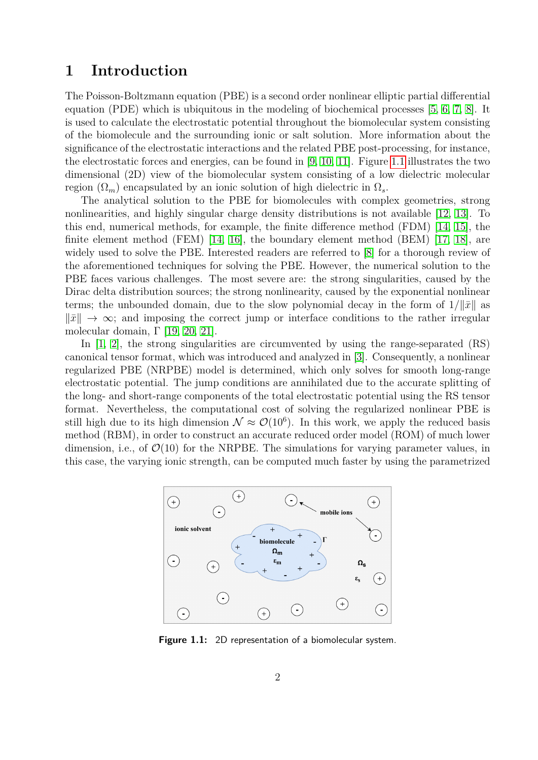# **1 Introduction**

The Poisson-Boltzmann equation (PBE) is a second order nonlinear elliptic partial differential equation (PDE) which is ubiquitous in the modeling of biochemical processes [\[5,](#page-21-4) [6,](#page-21-5) [7,](#page-21-6) [8\]](#page-21-7). It is used to calculate the electrostatic potential throughout the biomolecular system consisting of the biomolecule and the surrounding ionic or salt solution. More information about the significance of the electrostatic interactions and the related PBE post-processing, for instance, the electrostatic forces and energies, can be found in [\[9,](#page-21-8) [10,](#page-21-9) [11\]](#page-21-10). Figure [1.1](#page-1-0) illustrates the two dimensional (2D) view of the biomolecular system consisting of a low dielectric molecular region  $(\Omega_m)$  encapsulated by an ionic solution of high dielectric in  $\Omega_s$ .

The analytical solution to the PBE for biomolecules with complex geometries, strong nonlinearities, and highly singular charge density distributions is not available [\[12,](#page-21-11) [13\]](#page-21-12). To this end, numerical methods, for example, the finite difference method (FDM) [\[14,](#page-21-13) [15\]](#page-21-14), the finite element method (FEM)  $|14, 16|$ , the boundary element method (BEM)  $|17, 18|$ , are widely used to solve the PBE. Interested readers are referred to [\[8\]](#page-21-7) for a thorough review of the aforementioned techniques for solving the PBE. However, the numerical solution to the PBE faces various challenges. The most severe are: the strong singularities, caused by the Dirac delta distribution sources; the strong nonlinearity, caused by the exponential nonlinear terms; the unbounded domain, due to the slow polynomial decay in the form of  $1/||\bar{x}||$  as  $\|\bar{x}\| \to \infty$ ; and imposing the correct jump or interface conditions to the rather irregular molecular domain,  $\Gamma$  [\[19,](#page-22-3) [20,](#page-22-4) [21\]](#page-22-5).

In [\[1,](#page-21-0) [2\]](#page-21-1), the strong singularities are circumvented by using the range-separated (RS) canonical tensor format, which was introduced and analyzed in [\[3\]](#page-21-2). Consequently, a nonlinear regularized PBE (NRPBE) model is determined, which only solves for smooth long-range electrostatic potential. The jump conditions are annihilated due to the accurate splitting of the long- and short-range components of the total electrostatic potential using the RS tensor format. Nevertheless, the computational cost of solving the regularized nonlinear PBE is still high due to its high dimension  $\mathcal{N} \approx \mathcal{O}(10^6)$ . In this work, we apply the reduced basis method (RBM), in order to construct an accurate reduced order model (ROM) of much lower dimension, i.e., of  $\mathcal{O}(10)$  for the NRPBE. The simulations for varying parameter values, in this case, the varying ionic strength, can be computed much faster by using the parametrized

<span id="page-1-0"></span>

**Figure 1.1:** 2D representation of a biomolecular system.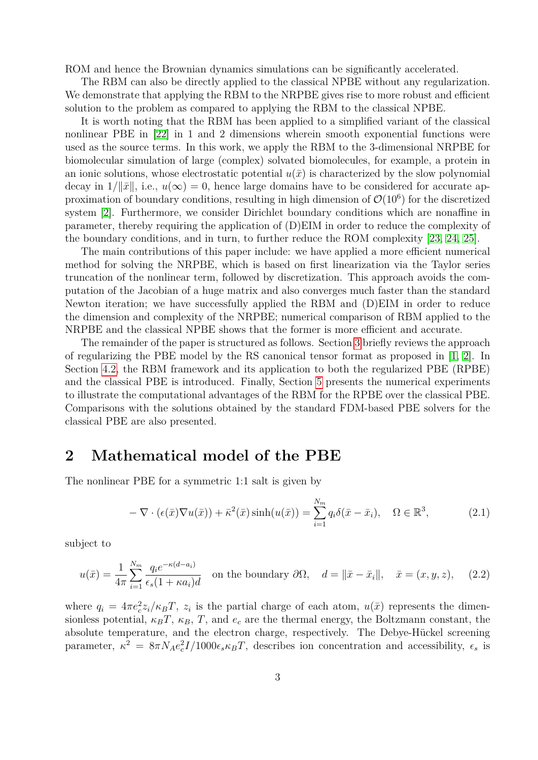ROM and hence the Brownian dynamics simulations can be significantly accelerated.

The RBM can also be directly applied to the classical NPBE without any regularization. We demonstrate that applying the RBM to the NRPBE gives rise to more robust and efficient solution to the problem as compared to applying the RBM to the classical NPBE.

It is worth noting that the RBM has been applied to a simplified variant of the classical nonlinear PBE in [\[22\]](#page-22-6) in 1 and 2 dimensions wherein smooth exponential functions were used as the source terms. In this work, we apply the RBM to the 3-dimensional NRPBE for biomolecular simulation of large (complex) solvated biomolecules, for example, a protein in an ionic solutions, whose electrostatic potential  $u(\bar{x})$  is characterized by the slow polynomial decay in  $1/||\bar{x}||$ , i.e.,  $u(\infty) = 0$ , hence large domains have to be considered for accurate approximation of boundary conditions, resulting in high dimension of  $\mathcal{O}(10^6)$  for the discretized system [\[2\]](#page-21-1). Furthermore, we consider Dirichlet boundary conditions which are nonaffine in parameter, thereby requiring the application of (D)EIM in order to reduce the complexity of the boundary conditions, and in turn, to further reduce the ROM complexity [\[23,](#page-22-7) [24,](#page-22-8) [25\]](#page-22-9).

The main contributions of this paper include: we have applied a more efficient numerical method for solving the NRPBE, which is based on first linearization via the Taylor series truncation of the nonlinear term, followed by discretization. This approach avoids the computation of the Jacobian of a huge matrix and also converges much faster than the standard Newton iteration; we have successfully applied the RBM and (D)EIM in order to reduce the dimension and complexity of the NRPBE; numerical comparison of RBM applied to the NRPBE and the classical NPBE shows that the former is more efficient and accurate.

The remainder of the paper is structured as follows. Section [3](#page-3-0) briefly reviews the approach of regularizing the PBE model by the RS canonical tensor format as proposed in [\[1,](#page-21-0) [2\]](#page-21-1). In Section [4.2,](#page-9-0) the RBM framework and its application to both the regularized PBE (RPBE) and the classical PBE is introduced. Finally, Section [5](#page-15-0) presents the numerical experiments to illustrate the computational advantages of the RBM for the RPBE over the classical PBE. Comparisons with the solutions obtained by the standard FDM-based PBE solvers for the classical PBE are also presented.

## **2 Mathematical model of the PBE**

The nonlinear PBE for a symmetric 1:1 salt is given by

<span id="page-2-0"></span>
$$
-\nabla \cdot (\epsilon(\bar{x}) \nabla u(\bar{x})) + \bar{\kappa}^2(\bar{x}) \sinh(u(\bar{x})) = \sum_{i=1}^{N_m} q_i \delta(\bar{x} - \bar{x}_i), \quad \Omega \in \mathbb{R}^3,
$$
 (2.1)

subject to

<span id="page-2-1"></span>
$$
u(\bar{x}) = \frac{1}{4\pi} \sum_{i=1}^{N_m} \frac{q_i e^{-\kappa(d-a_i)}}{\epsilon_s (1 + \kappa a_i) d}
$$
 on the boundary  $\partial \Omega$ ,  $d = ||\bar{x} - \bar{x}_i||$ ,  $\bar{x} = (x, y, z)$ , (2.2)

where  $q_i = 4\pi e_c^2 z_i / \kappa_B T$ ,  $z_i$  is the partial charge of each atom,  $u(\bar{x})$  represents the dimensionless potential,  $\kappa_B T$ ,  $\kappa_B$ , *T*, and  $e_c$  are the thermal energy, the Boltzmann constant, the absolute temperature, and the electron charge, respectively. The Debye-Hückel screening parameter,  $\kappa^2 = 8\pi N_A e_c^2 I/1000 \epsilon_s \kappa_B T$ , describes ion concentration and accessibility,  $\epsilon_s$  is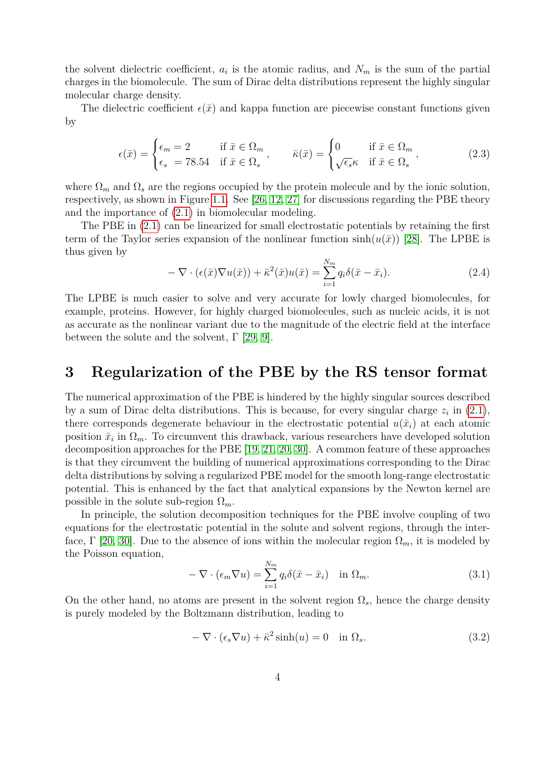the solvent dielectric coefficient,  $a_i$  is the atomic radius, and  $N_m$  is the sum of the partial charges in the biomolecule. The sum of Dirac delta distributions represent the highly singular molecular charge density.

The dielectric coefficient  $\epsilon(\bar{x})$  and kappa function are piecewise constant functions given by

<span id="page-3-3"></span>
$$
\epsilon(\bar{x}) = \begin{cases} \epsilon_m = 2 & \text{if } \bar{x} \in \Omega_m \\ \epsilon_s = 78.54 & \text{if } \bar{x} \in \Omega_s \end{cases}, \qquad \bar{\kappa}(\bar{x}) = \begin{cases} 0 & \text{if } \bar{x} \in \Omega_m \\ \sqrt{\epsilon_s} \kappa & \text{if } \bar{x} \in \Omega_s \end{cases}, \tag{2.3}
$$

where  $\Omega_m$  and  $\Omega_s$  are the regions occupied by the protein molecule and by the ionic solution, respectively, as shown in Figure [1.1.](#page-1-0) See [\[26,](#page-22-10) [12,](#page-21-11) [27\]](#page-22-11) for discussions regarding the PBE theory and the importance of [\(2.1\)](#page-2-0) in biomolecular modeling.

The PBE in [\(2.1\)](#page-2-0) can be linearized for small electrostatic potentials by retaining the first term of the Taylor series expansion of the nonlinear function  $sinh(u(\bar{x}))$  [\[28\]](#page-22-12). The LPBE is thus given by

$$
-\nabla \cdot (\epsilon(\bar{x}) \nabla u(\bar{x})) + \bar{\kappa}^2(\bar{x}) u(\bar{x}) = \sum_{i=1}^{N_m} q_i \delta(\bar{x} - \bar{x}_i).
$$
 (2.4)

The LPBE is much easier to solve and very accurate for lowly charged biomolecules, for example, proteins. However, for highly charged biomolecules, such as nucleic acids, it is not as accurate as the nonlinear variant due to the magnitude of the electric field at the interface between the solute and the solvent,  $\Gamma$  [\[29,](#page-22-13) [9\]](#page-21-8).

# <span id="page-3-0"></span>**3 Regularization of the PBE by the RS tensor format**

The numerical approximation of the PBE is hindered by the highly singular sources described by a sum of Dirac delta distributions. This is because, for every singular charge  $z_i$  in  $(2.1)$ , there corresponds degenerate behaviour in the electrostatic potential  $u(\bar{x}_i)$  at each atomic position  $\bar{x}_i$  in  $\Omega_m$ . To circumvent this drawback, various researchers have developed solution decomposition approaches for the PBE [\[19,](#page-22-3) [21,](#page-22-5) [20,](#page-22-4) [30\]](#page-22-14). A common feature of these approaches is that they circumvent the building of numerical approximations corresponding to the Dirac delta distributions by solving a regularized PBE model for the smooth long-range electrostatic potential. This is enhanced by the fact that analytical expansions by the Newton kernel are possible in the solute sub-region  $\Omega_m$ .

In principle, the solution decomposition techniques for the PBE involve coupling of two equations for the electrostatic potential in the solute and solvent regions, through the interface,  $\Gamma$  [\[20,](#page-22-4) [30\]](#page-22-14). Due to the absence of ions within the molecular region  $\Omega_m$ , it is modeled by the Poisson equation,

<span id="page-3-1"></span>
$$
-\nabla \cdot (\epsilon_m \nabla u) = \sum_{i=1}^{N_m} q_i \delta(\bar{x} - \bar{x}_i) \quad \text{in } \Omega_m.
$$
 (3.1)

On the other hand, no atoms are present in the solvent region  $\Omega_s$ , hence the charge density is purely modeled by the Boltzmann distribution, leading to

<span id="page-3-2"></span>
$$
-\nabla \cdot (\epsilon_s \nabla u) + \bar{\kappa}^2 \sinh(u) = 0 \quad \text{in } \Omega_s. \tag{3.2}
$$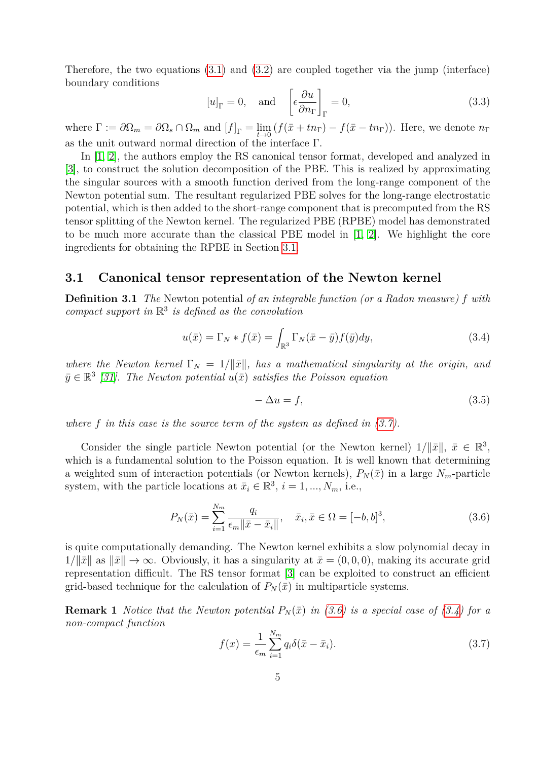Therefore, the two equations [\(3.1\)](#page-3-1) and [\(3.2\)](#page-3-2) are coupled together via the jump (interface) boundary conditions

$$
[u]_{\Gamma} = 0
$$
, and  $\left[\epsilon \frac{\partial u}{\partial n_{\Gamma}}\right]_{\Gamma} = 0$ , (3.3)

where  $\Gamma := \partial \Omega_m = \partial \Omega_s \cap \Omega_m$  and  $[f]_{\Gamma} = \lim_{t \to 0} (f(\bar{x} + tn_{\Gamma}) - f(\bar{x} - tn_{\Gamma}))$ . Here, we denote  $n_{\Gamma}$ as the unit outward normal direction of the interface Γ.

In  $[1, 2]$  $[1, 2]$ , the authors employ the RS canonical tensor format, developed and analyzed in [\[3\]](#page-21-2), to construct the solution decomposition of the PBE. This is realized by approximating the singular sources with a smooth function derived from the long-range component of the Newton potential sum. The resultant regularized PBE solves for the long-range electrostatic potential, which is then added to the short-range component that is precomputed from the RS tensor splitting of the Newton kernel. The regularized PBE (RPBE) model has demonstrated to be much more accurate than the classical PBE model in [\[1,](#page-21-0) [2\]](#page-21-1). We highlight the core ingredients for obtaining the RPBE in Section [3.1.](#page-4-0)

#### <span id="page-4-0"></span>**3.1 Canonical tensor representation of the Newton kernel**

**Definition 3.1** *The* Newton potential *of an integrable function (or a Radon measure) f with compact support in* R 3 *is defined as the convolution*

<span id="page-4-3"></span>
$$
u(\bar{x}) = \Gamma_N * f(\bar{x}) = \int_{\mathbb{R}^3} \Gamma_N(\bar{x} - \bar{y}) f(\bar{y}) dy,
$$
\n(3.4)

*where the Newton kernel*  $\Gamma_N = 1/||\bar{x}||$ , has a mathematical singularity at the origin, and  $\bar{y} \in \mathbb{R}^3$  [\[31\]](#page-22-15)*.* The Newton potential  $\bar{u}(\bar{x})$  satisfies the Poisson equation

$$
-\Delta u = f,\tag{3.5}
$$

where  $f$  in this case is the source term of the system as defined in  $(3.7)$ .

*Nm*

Consider the single particle Newton potential (or the Newton kernel)  $1/||\bar{x}||$ ,  $\bar{x} \in \mathbb{R}^3$ , which is a fundamental solution to the Poisson equation. It is well known that determining a weighted sum of interaction potentials (or Newton kernels),  $P_N(\bar{x})$  in a large  $N_m$ -particle system, with the particle locations at  $\bar{x}_i \in \mathbb{R}^3$ ,  $i = 1, ..., N_m$ , i.e.,

<span id="page-4-2"></span>
$$
P_N(\bar{x}) = \sum_{i=1}^{N_m} \frac{q_i}{\epsilon_m \|\bar{x} - \bar{x}_i\|}, \quad \bar{x}_i, \bar{x} \in \Omega = [-b, b]^3,
$$
\n(3.6)

is quite computationally demanding. The Newton kernel exhibits a slow polynomial decay in  $1/||\bar{x}||$  as  $||\bar{x}|| \to \infty$ . Obviously, it has a singularity at  $\bar{x} = (0,0,0)$ , making its accurate grid representation difficult. The RS tensor format [\[3\]](#page-21-2) can be exploited to construct an efficient grid-based technique for the calculation of  $P_N(\bar{x})$  in multiparticle systems.

<span id="page-4-4"></span>**Remark 1** *Notice that the Newton potential*  $P_N(\bar{x})$  *in [\(3.6\)](#page-4-2) is a special case of [\(3.4\)](#page-4-3) for a non-compact function*

<span id="page-4-1"></span>
$$
f(x) = \frac{1}{\epsilon_m} \sum_{i=1}^{N_m} q_i \delta(\bar{x} - \bar{x}_i).
$$
 (3.7)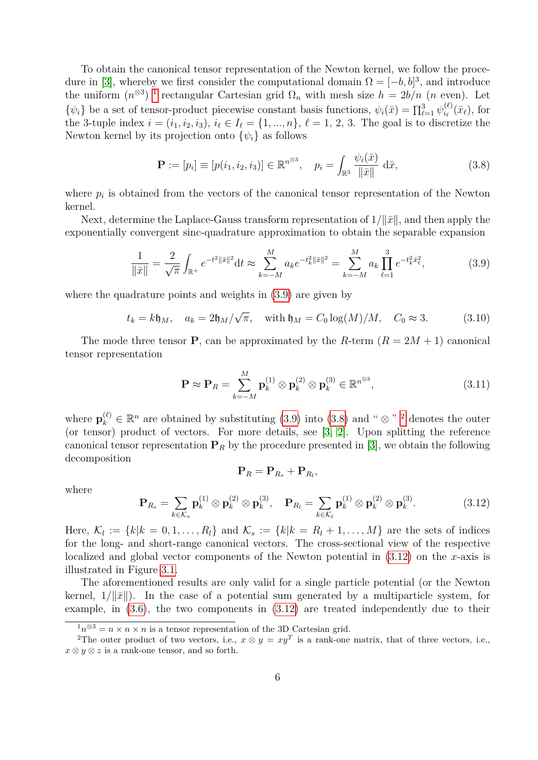To obtain the canonical tensor representation of the Newton kernel, we follow the proce-dure in [\[3\]](#page-21-2), whereby we first consider the computational domain  $\Omega = [-b, b]^3$ , and introduce the uniform  $(n^{\otimes 3})$ <sup>[1](#page-5-0)</sup> rectangular Cartesian grid  $\Omega_n$  with mesh size  $h = 2b/n$  (*n* even). Let  $\{\psi_i\}$  be a set of tensor-product piecewise constant basis functions,  $\psi_i(\bar{x}) = \prod_{\ell=1}^3 \psi_{i_\ell}^{(\ell)}$  $y_{i_{\ell}}^{(\ell)}(\bar{x}_{\ell}),$  for the 3-tuple index  $i = (i_1, i_2, i_3), i_\ell \in I_\ell = \{1, ..., n\}, \ell = 1, 2, 3$ . The goal is to discretize the Newton kernel by its projection onto  $\{\psi_i\}$  as follows

<span id="page-5-2"></span>
$$
\mathbf{P} := [p_i] \equiv [p(i_1, i_2, i_3)] \in \mathbb{R}^{n^{\otimes 3}}, \quad p_i = \int_{\mathbb{R}^3} \frac{\psi_i(\bar{x})}{\|\bar{x}\|} d\bar{x}, \tag{3.8}
$$

where  $p_i$  is obtained from the vectors of the canonical tensor representation of the Newton kernel.

Next, determine the Laplace-Gauss transform representation of  $1/||\bar{x}||$ , and then apply the exponentially convergent sinc-quadrature approximation to obtain the separable expansion

<span id="page-5-1"></span>
$$
\frac{1}{\|\bar{x}\|} = \frac{2}{\sqrt{\pi}} \int_{\mathbb{R}^+} e^{-t^2 \|\bar{x}\|^2} dt \approx \sum_{k=-M}^{M} a_k e^{-t_k^2 \|\bar{x}\|^2} = \sum_{k=-M}^{M} a_k \prod_{\ell=1}^3 e^{-t_k^2 \bar{x}_\ell^2},
$$
(3.9)

where the quadrature points and weights in  $(3.9)$  are given by

$$
t_k = k\mathfrak{h}_M, \quad a_k = 2\mathfrak{h}_M/\sqrt{\pi}, \quad \text{with } \mathfrak{h}_M = C_0 \log(M)/M, \quad C_0 \approx 3. \tag{3.10}
$$

The mode three tensor **P**, can be approximated by the *R*-term  $(R = 2M + 1)$  canonical tensor representation

$$
\mathbf{P} \approx \mathbf{P}_R = \sum_{k=-M}^{M} \mathbf{p}_k^{(1)} \otimes \mathbf{p}_k^{(2)} \otimes \mathbf{p}_k^{(3)} \in \mathbb{R}^{n^{\otimes 3}},\tag{3.11}
$$

where  $\mathbf{p}_{k}^{(\ell)} \in \mathbb{R}^{n}$  are obtained by substituting [\(3.9\)](#page-5-1) into [\(3.8\)](#page-5-2) and "  $\otimes$  " <sup>[2](#page-5-3)</sup> denotes the outer (or tensor) product of vectors. For more details, see [\[3,](#page-21-2) [2\]](#page-21-1). Upon splitting the reference canonical tensor representation  $P_R$  by the procedure presented in [\[3\]](#page-21-2), we obtain the following decomposition

$$
\mathbf{P}_R = \mathbf{P}_{R_s} + \mathbf{P}_{R_l},
$$

where

<span id="page-5-4"></span>
$$
\mathbf{P}_{R_s} = \sum_{k \in \mathcal{K}_s} \mathbf{p}_k^{(1)} \otimes \mathbf{p}_k^{(2)} \otimes \mathbf{p}_k^{(3)}, \quad \mathbf{P}_{R_l} = \sum_{k \in \mathcal{K}_l} \mathbf{p}_k^{(1)} \otimes \mathbf{p}_k^{(2)} \otimes \mathbf{p}_k^{(3)}.
$$
 (3.12)

Here,  $\mathcal{K}_l := \{k | k = 0, 1, \ldots, R_l\}$  and  $\mathcal{K}_s := \{k | k = R_l + 1, \ldots, M\}$  are the sets of indices for the long- and short-range canonical vectors. The cross-sectional view of the respective localized and global vector components of the Newton potential in [\(3.12\)](#page-5-4) on the *x*-axis is illustrated in Figure [3.1.](#page-6-0)

The aforementioned results are only valid for a single particle potential (or the Newton kernel,  $1/||\bar{x}||$ . In the case of a potential sum generated by a multiparticle system, for example, in [\(3.6\)](#page-4-2), the two components in [\(3.12\)](#page-5-4) are treated independently due to their

<span id="page-5-3"></span><span id="page-5-0"></span> $1n^{\otimes 3} = n \times n \times n$  is a tensor representation of the 3D Cartesian grid.

<sup>&</sup>lt;sup>2</sup>The outer product of two vectors, i.e.,  $x \otimes y = xy^T$  is a rank-one matrix, that of three vectors, i.e.,  $x \otimes y \otimes z$  is a rank-one tensor, and so forth.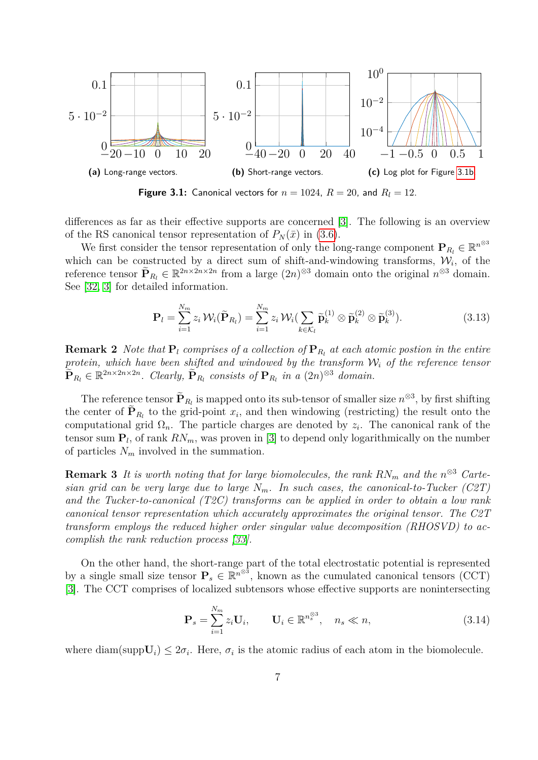<span id="page-6-0"></span>

**Figure 3.1:** Canonical vectors for  $n = 1024$ ,  $R = 20$ , and  $R_l = 12$ .

differences as far as their effective supports are concerned [\[3\]](#page-21-2). The following is an overview of the RS canonical tensor representation of  $P_N(\bar{x})$  in [\(3.6\)](#page-4-2).

We first consider the tensor representation of only the long-range component  $P_{R_l} \in \mathbb{R}^{n^{\otimes 3}}$ which can be constructed by a direct sum of shift-and-windowing transforms,  $W_i$ , of the reference tensor  $\tilde{\mathbf{P}}_{R_l} \in \mathbb{R}^{2n \times 2n \times 2n}$  from a large  $(2n)^{\otimes 3}$  domain onto the original  $n^{\otimes 3}$  domain. See [\[32,](#page-22-16) [3\]](#page-21-2) for detailed information.

<span id="page-6-1"></span>
$$
\mathbf{P}_{l} = \sum_{i=1}^{N_{m}} z_{i} \mathcal{W}_{i}(\widetilde{\mathbf{P}}_{R_{l}}) = \sum_{i=1}^{N_{m}} z_{i} \mathcal{W}_{i}(\sum_{k \in \mathcal{K}_{l}} \widetilde{\mathbf{p}}_{k}^{(1)} \otimes \widetilde{\mathbf{p}}_{k}^{(2)} \otimes \widetilde{\mathbf{p}}_{k}^{(3)}).
$$
(3.13)

**Remark 2** *Note that*  $P_l$  *comprises of a collection of*  $P_{R_l}$  *at each atomic postion in the entire protein, which have been shifted and windowed by the transform* W*<sup>i</sup> of the reference tensor*  $\widetilde{\mathbf{P}}_{R_l} \in \mathbb{R}^{2n \times 2n \times 2n}$ . Clearly,  $\widetilde{\mathbf{P}}_{R_l}$  consists of  $\mathbf{P}_{R_l}$  in a  $(2n)^{\otimes 3}$  *domain.* 

The reference tensor  $\tilde{\mathbf{P}}_{R_l}$  is mapped onto its sub-tensor of smaller size  $n^{\otimes 3}$ , by first shifting the center of  $P_{R_l}$  to the grid-point  $x_i$ , and then windowing (restricting) the result onto the computational grid  $\Omega_n$ . The particle charges are denoted by  $z_i$ . The canonical rank of the tensor sum  $P_l$ , of rank  $RN_m$ , was proven in [\[3\]](#page-21-2) to depend only logarithmically on the number of particles *N<sup>m</sup>* involved in the summation.

**Remark 3** It is worth noting that for large biomolecules, the rank  $RN_m$  and the  $n^{\otimes 3}$  Carte*sian grid can be very large due to large*  $N_m$ . In such cases, the canonical-to-Tucker (C2T) *and the Tucker-to-canonical (T2C) transforms can be applied in order to obtain a low rank canonical tensor representation which accurately approximates the original tensor. The C2T transform employs the reduced higher order singular value decomposition (RHOSVD) to accomplish the rank reduction process [\[33\]](#page-22-17).*

On the other hand, the short-range part of the total electrostatic potential is represented by a single small size tensor  $P_s \in \mathbb{R}^{n \otimes 3}$ , known as the cumulated canonical tensors (CCT) [\[3\]](#page-21-2). The CCT comprises of localized subtensors whose effective supports are nonintersecting

<span id="page-6-2"></span>
$$
\mathbf{P}_s = \sum_{i=1}^{N_m} z_i \mathbf{U}_i, \qquad \mathbf{U}_i \in \mathbb{R}^{n_s^{\otimes 3}}, \quad n_s \ll n,
$$
\n(3.14)

where diam(supp $\mathbf{U}_i$ )  $\leq 2\sigma_i$ . Here,  $\sigma_i$  is the atomic radius of each atom in the biomolecule.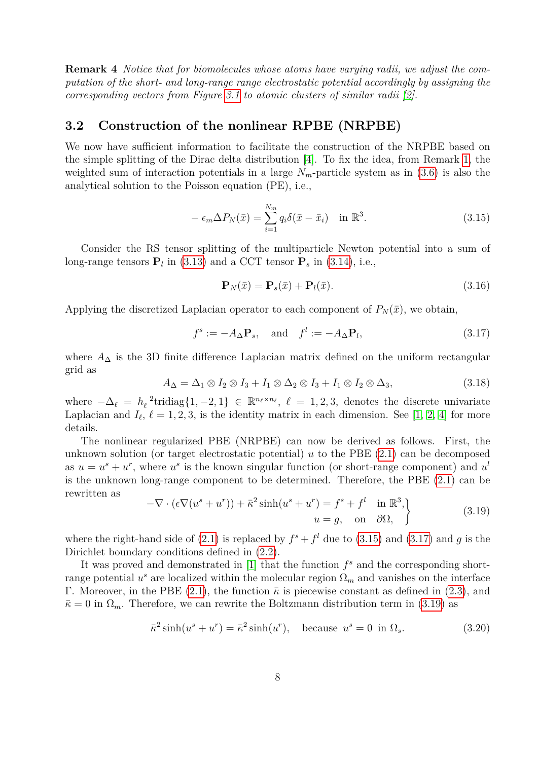**Remark 4** *Notice that for biomolecules whose atoms have varying radii, we adjust the computation of the short- and long-range range electrostatic potential accordingly by assigning the corresponding vectors from Figure [3.1](#page-6-0) to atomic clusters of similar radii [\[2\]](#page-21-1).*

### **3.2 Construction of the nonlinear RPBE (NRPBE)**

We now have sufficient information to facilitate the construction of the NRPBE based on the simple splitting of the Dirac delta distribution [\[4\]](#page-21-3). To fix the idea, from Remark [1,](#page-4-4) the weighted sum of interaction potentials in a large  $N_m$ -particle system as in  $(3.6)$  is also the analytical solution to the Poisson equation (PE), i.e.,

<span id="page-7-0"></span>
$$
-\epsilon_m \Delta P_N(\bar{x}) = \sum_{i=1}^{N_m} q_i \delta(\bar{x} - \bar{x}_i) \quad \text{in } \mathbb{R}^3.
$$
 (3.15)

Consider the RS tensor splitting of the multiparticle Newton potential into a sum of long-range tensors  $P_l$  in [\(3.13\)](#page-6-1) and a CCT tensor  $P_s$  in [\(3.14\)](#page-6-2), i.e.,

$$
\mathbf{P}_N(\bar{x}) = \mathbf{P}_s(\bar{x}) + \mathbf{P}_l(\bar{x}).\tag{3.16}
$$

Applying the discretized Laplacian operator to each component of  $P_N(\bar{x})$ , we obtain,

<span id="page-7-1"></span>
$$
f^s := -A_\Delta \mathbf{P}_s, \quad \text{and} \quad f^l := -A_\Delta \mathbf{P}_l,\tag{3.17}
$$

where *A*<sup>∆</sup> is the 3D finite difference Laplacian matrix defined on the uniform rectangular grid as

$$
A_{\Delta} = \Delta_1 \otimes I_2 \otimes I_3 + I_1 \otimes \Delta_2 \otimes I_3 + I_1 \otimes I_2 \otimes \Delta_3, \tag{3.18}
$$

where  $-\Delta_{\ell} = h_{\ell}^{-2}$ tridiag $\{1, -2, 1\}$  ∈ R<sup>*n*<sub>l</sub>×*n*<sub>l</sub></sub>,  $\ell = 1, 2, 3$ , denotes the discrete univariate</sup> Laplacian and  $I_{\ell}$ ,  $\ell = 1, 2, 3$  $\ell = 1, 2, 3$  $\ell = 1, 2, 3$ , is the identity matrix in each dimension. See [\[1,](#page-21-0) 2, [4\]](#page-21-3) for more details.

The nonlinear regularized PBE (NRPBE) can now be derived as follows. First, the unknown solution (or target electrostatic potential) *u* to the PBE [\(2.1\)](#page-2-0) can be decomposed as  $u = u^s + u^r$ , where  $u^s$  is the known singular function (or short-range component) and  $u^l$ is the unknown long-range component to be determined. Therefore, the PBE [\(2.1\)](#page-2-0) can be rewritten as

<span id="page-7-2"></span>
$$
-\nabla \cdot (\epsilon \nabla (u^s + u^r)) + \bar{\kappa}^2 \sinh(u^s + u^r) = f^s + f^l \quad \text{in } \mathbb{R}^3, u = g, \quad \text{on } \partial \Omega,
$$
 (3.19)

where the right-hand side of [\(2.1\)](#page-2-0) is replaced by  $f^s + f^l$  due to [\(3.15\)](#page-7-0) and [\(3.17\)](#page-7-1) and *g* is the Dirichlet boundary conditions defined in [\(2.2\)](#page-2-1).

It was proved and demonstrated in  $[1]$  that the function  $f^s$  and the corresponding shortrange potential  $u^s$  are localized within the molecular region  $\Omega_m$  and vanishes on the interface Γ. Moreover, in the PBE [\(2.1\)](#page-2-0), the function  $\bar{\kappa}$  is piecewise constant as defined in [\(2.3\)](#page-3-3), and  $\bar{\kappa} = 0$  in  $\Omega_m$ . Therefore, we can rewrite the Boltzmann distribution term in [\(3.19\)](#page-7-2) as

<span id="page-7-3"></span>
$$
\bar{\kappa}^2 \sinh(u^s + u^r) = \bar{\kappa}^2 \sinh(u^r), \quad \text{because } u^s = 0 \text{ in } \Omega_s. \tag{3.20}
$$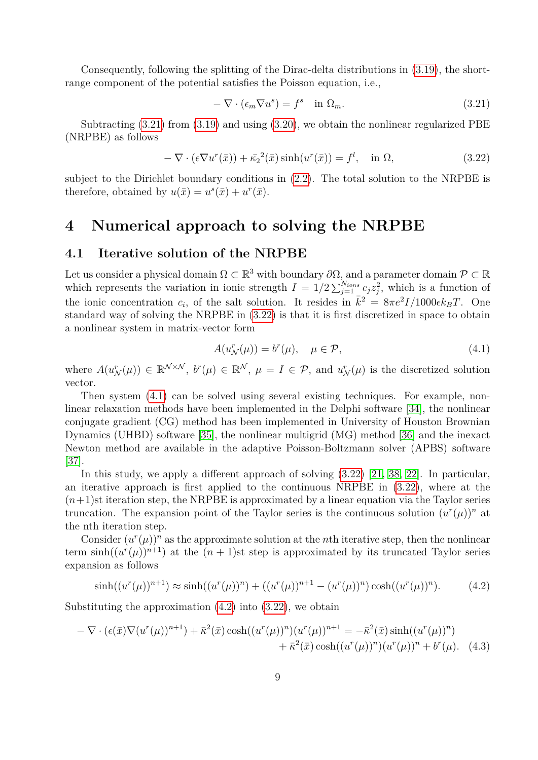Consequently, following the splitting of the Dirac-delta distributions in [\(3.19\)](#page-7-2), the shortrange component of the potential satisfies the Poisson equation, i.e.,

<span id="page-8-0"></span>
$$
-\nabla \cdot (\epsilon_m \nabla u^s) = f^s \quad \text{in } \Omega_m. \tag{3.21}
$$

Subtracting [\(3.21\)](#page-8-0) from [\(3.19\)](#page-7-2) and using [\(3.20\)](#page-7-3), we obtain the nonlinear regularized PBE (NRPBE) as follows

<span id="page-8-1"></span>
$$
-\nabla \cdot (\epsilon \nabla u^r(\bar{x})) + \bar{\kappa_2}^2(\bar{x}) \sinh(u^r(\bar{x})) = f^l, \quad \text{in } \Omega,
$$
\n(3.22)

subject to the Dirichlet boundary conditions in [\(2.2\)](#page-2-1). The total solution to the NRPBE is therefore, obtained by  $u(\bar{x}) = u^s(\bar{x}) + u^r(\bar{x})$ .

### **4 Numerical approach to solving the NRPBE**

### **4.1 Iterative solution of the NRPBE**

Let us consider a physical domain  $\Omega \subset \mathbb{R}^3$  with boundary  $\partial\Omega$ , and a parameter domain  $\mathcal{P} \subset \mathbb{R}^3$ which represents the variation in ionic strength  $I = 1/2 \sum_{j=1}^{N_{ions}} c_j z_j^2$ , which is a function of the ionic concentration  $c_i$ , of the salt solution. It resides in  $\bar{k}^2 = 8\pi e^2 I/1000 \epsilon k_B T$ . One standard way of solving the NRPBE in [\(3.22\)](#page-8-1) is that it is first discretized in space to obtain a nonlinear system in matrix-vector form

<span id="page-8-2"></span>
$$
A(u^r_{\mathcal{N}}(\mu)) = b^r(\mu), \quad \mu \in \mathcal{P}, \tag{4.1}
$$

where  $A(u^r_{\mathcal{N}}(\mu)) \in \mathbb{R}^{\mathcal{N}\times\mathcal{N}}$ ,  $b^r(\mu) \in \mathbb{R}^{\mathcal{N}}$ ,  $\mu = I \in \mathcal{P}$ , and  $u^r_{\mathcal{N}}(\mu)$  is the discretized solution vector.

Then system [\(4.1\)](#page-8-2) can be solved using several existing techniques. For example, nonlinear relaxation methods have been implemented in the Delphi software [\[34\]](#page-23-0), the nonlinear conjugate gradient (CG) method has been implemented in University of Houston Brownian Dynamics (UHBD) software [\[35\]](#page-23-1), the nonlinear multigrid (MG) method [\[36\]](#page-23-2) and the inexact Newton method are available in the adaptive Poisson-Boltzmann solver (APBS) software [\[37\]](#page-23-3).

In this study, we apply a different approach of solving [\(3.22\)](#page-8-1) [\[21,](#page-22-5) [38,](#page-23-4) [22\]](#page-22-6). In particular, an iterative approach is first applied to the continuous NRPBE in [\(3.22\)](#page-8-1), where at the  $(n+1)$ st iteration step, the NRPBE is approximated by a linear equation via the Taylor series truncation. The expansion point of the Taylor series is the continuous solution  $(u^r(\mu))^n$  at the nth iteration step.

Consider  $(u^r(\mu))^n$  as the approximate solution at the *n*th iterative step, then the nonlinear term  $\sinh((u^r(\mu))^{n+1})$  at the  $(n+1)$ st step is approximated by its truncated Taylor series expansion as follows

<span id="page-8-4"></span><span id="page-8-3"></span>
$$
\sinh((u^r(\mu))^{n+1}) \approx \sinh((u^r(\mu))^n) + ((u^r(\mu))^{n+1} - (u^r(\mu))^n) \cosh((u^r(\mu))^n). \tag{4.2}
$$

Substituting the approximation  $(4.2)$  into  $(3.22)$ , we obtain

$$
-\nabla \cdot (\epsilon(\bar{x}) \nabla (u^r(\mu))^{n+1}) + \bar{\kappa}^2(\bar{x}) \cosh((u^r(\mu))^n)(u^r(\mu))^{n+1} = -\bar{\kappa}^2(\bar{x}) \sinh((u^r(\mu))^n) + \bar{\kappa}^2(\bar{x}) \cosh((u^r(\mu))^n)(u^r(\mu))^n + b^r(\mu). \quad (4.3)
$$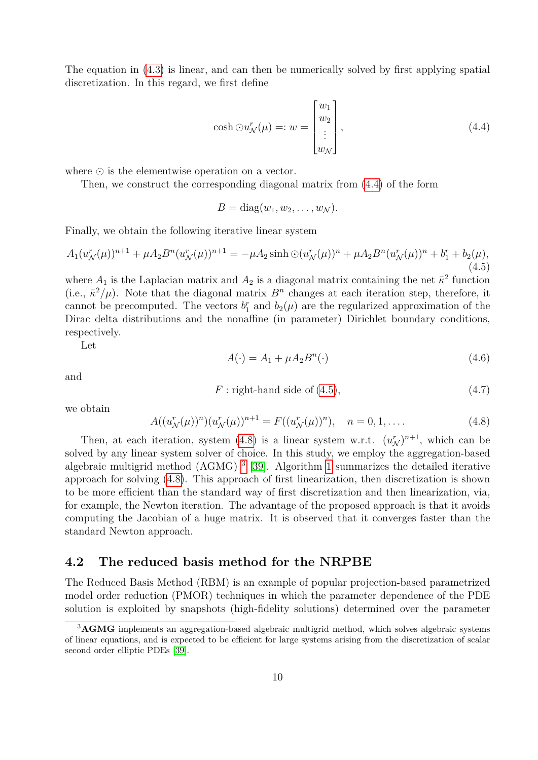The equation in [\(4.3\)](#page-8-4) is linear, and can then be numerically solved by first applying spatial discretization. In this regard, we first define

<span id="page-9-1"></span>
$$
\cosh \odot u_N^r(\mu) =: w = \begin{bmatrix} w_1 \\ w_2 \\ \vdots \\ w_N \end{bmatrix},
$$
\n(4.4)

where  $\odot$  is the elementwise operation on a vector.

Then, we construct the corresponding diagonal matrix from [\(4.4\)](#page-9-1) of the form

 $B = \text{diag}(w_1, w_2, \dots, w_N)$ .

Finally, we obtain the following iterative linear system

<span id="page-9-2"></span>
$$
A_1(u_N^r(\mu))^{n+1} + \mu A_2 B^n(u_N^r(\mu))^{n+1} = -\mu A_2 \sinh \big(\partial (u_N^r(\mu))^n + \mu A_2 B^n(u_N^r(\mu))^n + b_1^r + b_2(\mu),
$$
\n(4.5)

where  $A_1$  is the Laplacian matrix and  $A_2$  is a diagonal matrix containing the net  $\bar{\kappa}^2$  function (i.e.,  $\bar{\kappa}^2/\mu$ ). Note that the diagonal matrix  $B^n$  changes at each iteration step, therefore, it cannot be precomputed. The vectors  $b_1^r$  and  $b_2(\mu)$  are the regularized approximation of the Dirac delta distributions and the nonaffine (in parameter) Dirichlet boundary conditions, respectively.

Let

$$
A(\cdot) = A_1 + \mu A_2 B^n(\cdot) \tag{4.6}
$$

and

<span id="page-9-5"></span>
$$
F: right-hand side of (4.5), \t(4.7)
$$

we obtain

<span id="page-9-3"></span>
$$
A((u_N^r(\mu))^n)(u_N^r(\mu))^{n+1} = F((u_N^r(\mu))^n), \quad n = 0, 1, .... \tag{4.8}
$$

Then, at each iteration, system  $(4.8)$  is a linear system w.r.t.  $(u_N^r)^{n+1}$ , which can be solved by any linear system solver of choice. In this study, we employ the aggregation-based algebraic multigrid method (AGMG) [3](#page-9-4) [\[39\]](#page-23-5). Algorithm [1](#page-10-0) summarizes the detailed iterative approach for solving [\(4.8\)](#page-9-3). This approach of first linearization, then discretization is shown to be more efficient than the standard way of first discretization and then linearization, via, for example, the Newton iteration. The advantage of the proposed approach is that it avoids computing the Jacobian of a huge matrix. It is observed that it converges faster than the standard Newton approach.

### <span id="page-9-0"></span>**4.2 The reduced basis method for the NRPBE**

The Reduced Basis Method (RBM) is an example of popular projection-based parametrized model order reduction (PMOR) techniques in which the parameter dependence of the PDE solution is exploited by snapshots (high-fidelity solutions) determined over the parameter

<span id="page-9-4"></span><sup>&</sup>lt;sup>3</sup>**AGMG** implements an aggregation-based algebraic multigrid method, which solves algebraic systems of linear equations, and is expected to be efficient for large systems arising from the discretization of scalar second order elliptic PDEs [\[39\]](#page-23-5).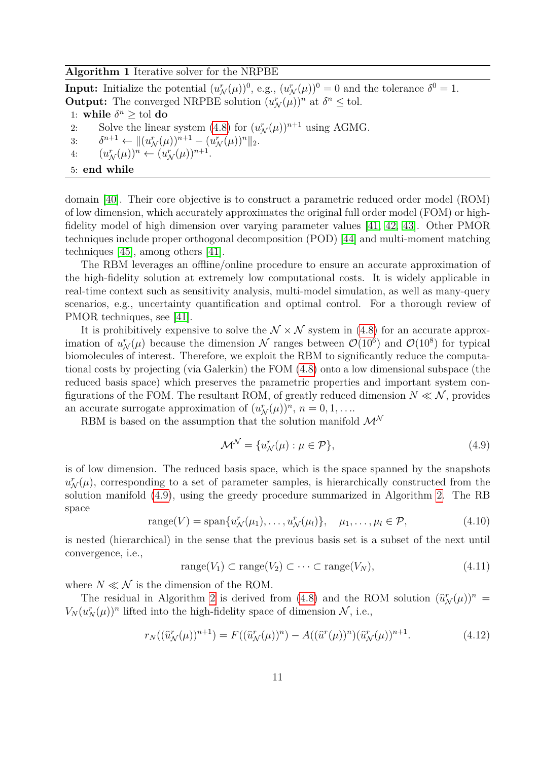#### <span id="page-10-0"></span>**Algorithm 1** Iterative solver for the NRPBE

**Input:** Initialize the potential  $(u_N^r(\mu))^0$ , e.g.,  $(u_N^r(\mu))^0 = 0$  and the tolerance  $\delta^0 = 1$ . **Output:** The converged NRPBE solution  $(u_N^r(\mu))^n$  at  $\delta^n \leq$  tol. 1: **while**  $\delta^n \geq \text{tol do}$ 2: Solve the linear system [\(4.8\)](#page-9-3) for  $(u^r_{\mathcal{N}}(\mu))^{n+1}$  using AGMG. 3:  $\delta^{n+1} \leftarrow ||(uv(\mu))^{n+1} - (uv(\mu))^n||_2.$ 4:  $(u^r_{\mathcal{N}}(\mu))^n \leftarrow (u^r_{\mathcal{N}}(\mu))^{n+1}.$ 5: **end while**

domain [\[40\]](#page-23-6). Their core objective is to construct a parametric reduced order model (ROM) of low dimension, which accurately approximates the original full order model (FOM) or highfidelity model of high dimension over varying parameter values [\[41,](#page-23-7) [42,](#page-23-8) [43\]](#page-23-9). Other PMOR techniques include proper orthogonal decomposition (POD) [\[44\]](#page-23-10) and multi-moment matching techniques [\[45\]](#page-23-11), among others [\[41\]](#page-23-7).

The RBM leverages an offline/online procedure to ensure an accurate approximation of the high-fidelity solution at extremely low computational costs. It is widely applicable in real-time context such as sensitivity analysis, multi-model simulation, as well as many-query scenarios, e.g., uncertainty quantification and optimal control. For a thorough review of PMOR techniques, see [\[41\]](#page-23-7).

It is prohibitively expensive to solve the  $\mathcal{N} \times \mathcal{N}$  system in [\(4.8\)](#page-9-3) for an accurate approximation of  $u^r_N(\mu)$  because the dimension N ranges between  $\mathcal{O}(10^6)$  and  $\mathcal{O}(10^8)$  for typical biomolecules of interest. Therefore, we exploit the RBM to significantly reduce the computational costs by projecting (via Galerkin) the FOM [\(4.8\)](#page-9-3) onto a low dimensional subspace (the reduced basis space) which preserves the parametric properties and important system configurations of the FOM. The resultant ROM, of greatly reduced dimension  $N \ll N$ , provides an accurate surrogate approximation of  $(u^r_{\mathcal{N}}(\mu))^n$ ,  $n = 0, 1, \ldots$ 

RBM is based on the assumption that the solution manifold  $\mathcal{M}^{\mathcal{N}}$ 

<span id="page-10-1"></span>
$$
\mathcal{M}^{\mathcal{N}} = \{ u^r_{\mathcal{N}}(\mu) : \mu \in \mathcal{P} \},\tag{4.9}
$$

is of low dimension. The reduced basis space, which is the space spanned by the snapshots  $u_N^r(\mu)$ , corresponding to a set of parameter samples, is hierarchically constructed from the solution manifold [\(4.9\)](#page-10-1), using the greedy procedure summarized in Algorithm [2.](#page-11-0) The RB space

$$
\text{range}(V) = \text{span}\{u^r_{\mathcal{N}}(\mu_1), \dots, u^r_{\mathcal{N}}(\mu_l)\}, \quad \mu_1, \dots, \mu_l \in \mathcal{P}, \tag{4.10}
$$

is nested (hierarchical) in the sense that the previous basis set is a subset of the next until convergence, i.e.,

$$
\text{range}(V_1) \subset \text{range}(V_2) \subset \cdots \subset \text{range}(V_N),\tag{4.11}
$$

where  $N \ll N$  is the dimension of the ROM.

The residual in Algorithm [2](#page-11-0) is derived from [\(4.8\)](#page-9-3) and the ROM solution  $(\hat{u}^r_N(\mu))^n =$  $V_N(u_N^r(\mu))^n$  lifted into the high-fidelity space of dimension  $\mathcal{N}$ , i.e.,

<span id="page-10-2"></span>
$$
r_N((\widehat{u}^r_N(\mu))^{n+1}) = F((\widehat{u}^r_N(\mu))^n) - A((\widehat{u}^r(\mu))^n)(\widehat{u}^r_N(\mu))^{n+1}.
$$
\n(4.12)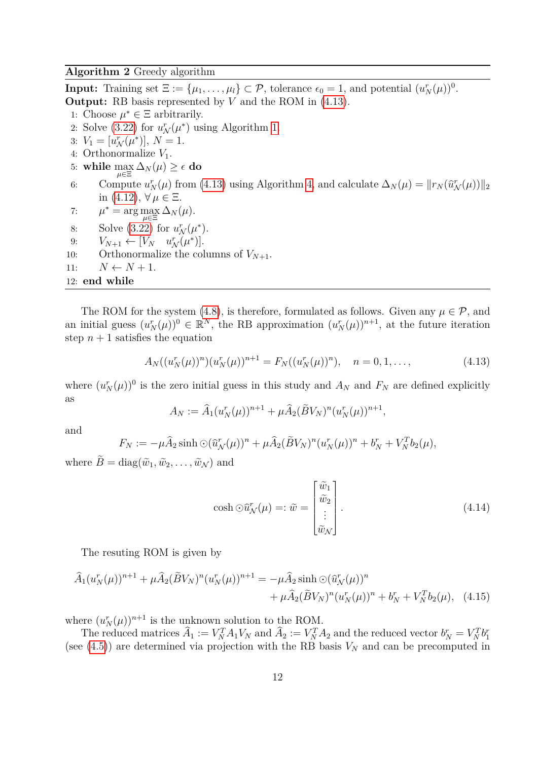#### <span id="page-11-0"></span>**Algorithm 2** Greedy algorithm

**Input:** Training set  $\Xi := {\mu_1, \ldots, \mu_l} \subset \mathcal{P}$ , tolerance  $\epsilon_0 = 1$ , and potential  $(u_N^r(\mu))^0$ . **Output:** RB basis represented by *V* and the ROM in [\(4.13\)](#page-11-1).

- 1: Choose  $\mu^* \in \Xi$  arbitrarily.
- 2: Solve [\(3.22\)](#page-8-1) for  $u_N^r(\mu^*)$  using Algorithm [1.](#page-10-0)
- 3:  $V_1 = [u^r_N(\mu^*)], N = 1.$
- 4: Orthonormalize *V*1.
- $\text{5: } \textbf{while } \max_{\mu \in \Xi} \Delta_N(\mu) \geq \epsilon \textbf{ do}$
- 6: Compute  $u_N^r(\mu)$  from [\(4.13\)](#page-11-1) using Algorithm [4,](#page-14-0) and calculate  $\Delta_N(\mu) = ||r_N(\hat{u}_N^r(\mu))||_2$ in  $(4.12)$ ,  $\forall \mu \in \Xi$ .
- 7:  $\mu^* = \arg \max_{\mathbf{\Omega}} \Delta_N(\mu).$ *µ*∈Ξ
- 8: Solve [\(3.22\)](#page-8-1) for  $u^r_{\mathcal{N}}(\mu^*).$
- 9:  $V_{N+1} \leftarrow [V_N \quad u_N^r(\mu^*)].$
- 10: Orthonormalize the columns of  $V_{N+1}$ .
- 11:  $N \leftarrow N + 1$ .

### 12: **end while**

The ROM for the system [\(4.8\)](#page-9-3), is therefore, formulated as follows. Given any  $\mu \in \mathcal{P}$ , and an initial guess  $(u_N^r(\mu))^0 \in \mathbb{R}^N$ , the RB approximation  $(u_N^r(\mu))^{n+1}$ , at the future iteration step  $n + 1$  satisfies the equation

<span id="page-11-1"></span>
$$
A_N((u_N^r(\mu))^n)(u_N^r(\mu))^{n+1} = F_N((u_N^r(\mu))^n), \quad n = 0, 1, ..., \tag{4.13}
$$

where  $(u_N^r(\mu))^0$  is the zero initial guess in this study and  $A_N$  and  $F_N$  are defined explicitly as

$$
A_N := \widehat{A}_1(u_N^r(\mu))^{n+1} + \mu \widehat{A}_2(\widetilde{B}V_N)^n(u_N^r(\mu))^{n+1},
$$

and

$$
F_N := -\mu \widehat{A}_2 \sinh \odot (\widehat{u}_N^r(\mu))^n + \mu \widehat{A}_2 (\widetilde{B} V_N)^n (u_N^r(\mu))^n + b_N^r + V_N^T b_2(\mu),
$$

where  $\widetilde{B} = \text{diag}(\widetilde{w}_1, \widetilde{w}_2, \dots, \widetilde{w}_N)$  and

<span id="page-11-2"></span>
$$
\cosh \odot \widehat{u}_{\mathcal{N}}^r(\mu) =: \widetilde{w} = \begin{bmatrix} \widetilde{w}_1 \\ \widetilde{w}_2 \\ \vdots \\ \widetilde{w}_{\mathcal{N}} \end{bmatrix} . \tag{4.14}
$$

The resuting ROM is given by

$$
\hat{A}_1(u_N^r(\mu))^{n+1} + \mu \hat{A}_2(\tilde{B}V_N)^n (u_N^r(\mu))^{n+1} = -\mu \hat{A}_2 \sinh \big(\hat{u}_N^r(\mu)\big)^n \n+ \mu \hat{A}_2(\tilde{B}V_N)^n (u_N^r(\mu))^n + b_N^r + V_N^T b_2(\mu), \quad (4.15)
$$

where  $(u_N^r(\mu))^{n+1}$  is the unknown solution to the ROM.

The reduced matrices  $\hat{A}_1 := V_N^T A_1 V_N$  and  $\hat{A}_2 := V_N^T A_2$  and the reduced vector  $b_N^r = V_N^T b_1^r$ (see  $(4.5)$ ) are determined via projection with the RB basis  $V_N$  and can be precomputed in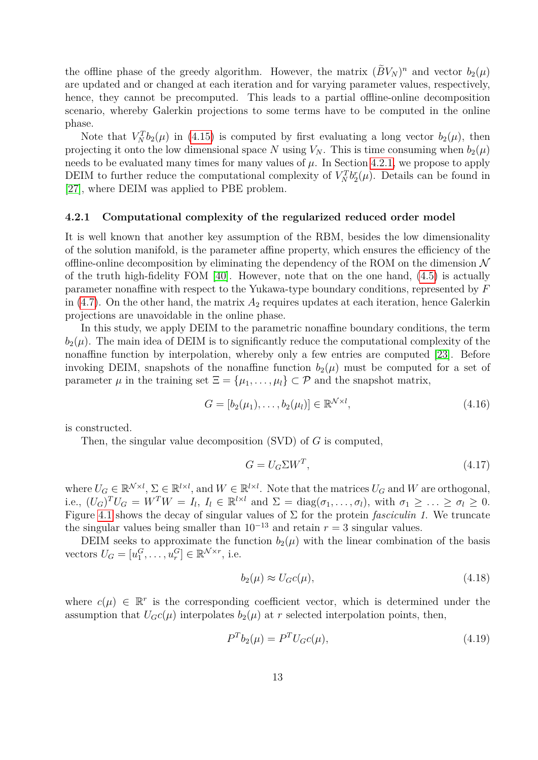the offline phase of the greedy algorithm. However, the matrix  $(\widetilde{B}V_N)^n$  and vector  $b_2(\mu)$ are updated and or changed at each iteration and for varying parameter values, respectively, hence, they cannot be precomputed. This leads to a partial offline-online decomposition scenario, whereby Galerkin projections to some terms have to be computed in the online phase.

Note that  $V_N^T b_2(\mu)$  in [\(4.15\)](#page-11-2) is computed by first evaluating a long vector  $b_2(\mu)$ , then projecting it onto the low dimensional space *N* using  $V_N$ . This is time consuming when  $b_2(\mu)$ needs to be evaluated many times for many values of  $\mu$ . In Section [4.2.1,](#page-12-0) we propose to apply DEIM to further reduce the computational complexity of  $V_N^T b_2^r(\mu)$ . Details can be found in [\[27\]](#page-22-11), where DEIM was applied to PBE problem.

#### <span id="page-12-0"></span>**4.2.1 Computational complexity of the regularized reduced order model**

It is well known that another key assumption of the RBM, besides the low dimensionality of the solution manifold, is the parameter affine property, which ensures the efficiency of the offline-online decomposition by eliminating the dependency of the ROM on the dimension  $\mathcal N$ of the truth high-fidelity FOM [\[40\]](#page-23-6). However, note that on the one hand, [\(4.5\)](#page-9-2) is actually parameter nonaffine with respect to the Yukawa-type boundary conditions, represented by *F* in  $(4.7)$ . On the other hand, the matrix  $A_2$  requires updates at each iteration, hence Galerkin projections are unavoidable in the online phase.

In this study, we apply DEIM to the parametric nonaffine boundary conditions, the term  $b_2(\mu)$ . The main idea of DEIM is to significantly reduce the computational complexity of the nonaffine function by interpolation, whereby only a few entries are computed [\[23\]](#page-22-7). Before invoking DEIM, snapshots of the nonaffine function  $b_2(\mu)$  must be computed for a set of parameter  $\mu$  in the training set  $\Xi = {\mu_1, \ldots, \mu_l} \subset \mathcal{P}$  and the snapshot matrix,

$$
G = [b_2(\mu_1), \dots, b_2(\mu_l)] \in \mathbb{R}^{\mathcal{N} \times l}, \tag{4.16}
$$

is constructed.

Then, the singular value decomposition (SVD) of *G* is computed,

<span id="page-12-1"></span>
$$
G = U_G \Sigma W^T,\tag{4.17}
$$

where  $U_G \in \mathbb{R}^{\mathcal{N} \times \mathcal{l}}$ ,  $\Sigma \in \mathbb{R}^{\mathcal{l} \times \mathcal{l}}$ , and  $W \in \mathbb{R}^{\mathcal{l} \times \mathcal{l}}$ . Note that the matrices  $U_G$  and  $W$  are orthogonal, i.e.,  $(U_G)^T U_G = W^T W = I_l$ ,  $I_l \in \mathbb{R}^{l \times l}$  and  $\Sigma = \text{diag}(\sigma_1, \ldots, \sigma_l)$ , with  $\sigma_1 \geq \ldots \geq \sigma_l \geq 0$ . Figure [4.1](#page-13-0) shows the decay of singular values of Σ for the protein *fasciculin 1*. We truncate the singular values being smaller than  $10^{-13}$  and retain  $r = 3$  singular values.

DEIM seeks to approximate the function  $b_2(\mu)$  with the linear combination of the basis vectors  $U_G = [u_1^G, \ldots, u_r^G] \in \mathbb{R}^{\mathcal{N} \times r}$ , i.e.

$$
b_2(\mu) \approx U_Gc(\mu),\tag{4.18}
$$

where  $c(\mu) \in \mathbb{R}^r$  is the corresponding coefficient vector, which is determined under the assumption that  $U_Gc(\mu)$  interpolates  $b_2(\mu)$  at r selected interpolation points, then,

<span id="page-12-2"></span>
$$
P^T b_2(\mu) = P^T U_G c(\mu), \tag{4.19}
$$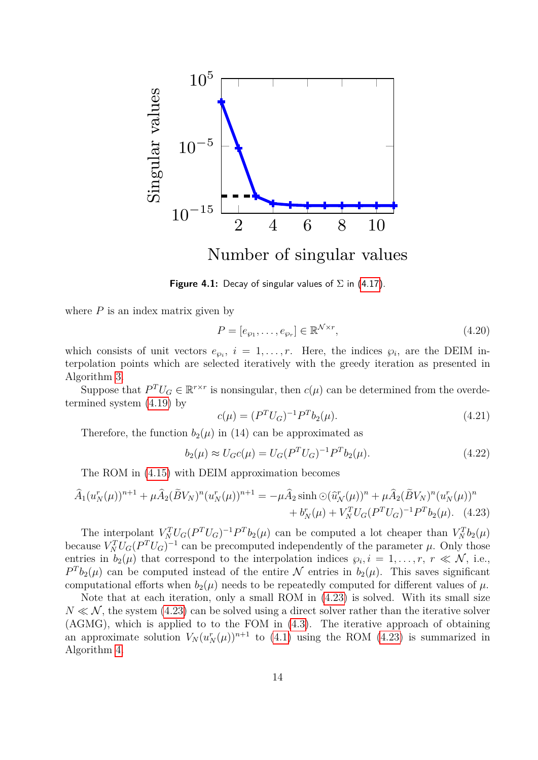<span id="page-13-0"></span>

Number of singular values

**Figure 4.1:** Decay of singular values of  $\Sigma$  in [\(4.17\)](#page-12-1).

where  $P$  is an index matrix given by

$$
P = [e_{\wp_1}, \dots, e_{\wp_r}] \in \mathbb{R}^{\mathcal{N} \times r},\tag{4.20}
$$

which consists of unit vectors  $e_{\varphi_i}$ ,  $i = 1, \ldots, r$ . Here, the indices  $\varphi_i$ , are the DEIM interpolation points which are selected iteratively with the greedy iteration as presented in Algorithm [3.](#page-14-1)

Suppose that  $P^{T}U_{G} \in \mathbb{R}^{r \times r}$  is nonsingular, then  $c(\mu)$  can be determined from the overdetermined system [\(4.19\)](#page-12-2) by

<span id="page-13-1"></span>
$$
c(\mu) = (P^T U_G)^{-1} P^T b_2(\mu). \tag{4.21}
$$

Therefore, the function  $b_2(\mu)$  in (14) can be approximated as

$$
b_2(\mu) \approx U_G(c(\mu)) = U_G(P^T U_G)^{-1} P^T b_2(\mu). \tag{4.22}
$$

The ROM in [\(4.15\)](#page-11-2) with DEIM approximation becomes

$$
\hat{A}_1(u_N^r(\mu))^{n+1} + \mu \hat{A}_2(\tilde{B}V_N)^n (u_N^r(\mu))^{n+1} = -\mu \hat{A}_2 \sinh \big(\hat{u}_N^r(\mu)\big)^n + \mu \hat{A}_2(\tilde{B}V_N)^n (u_N^r(\mu))^n + b_N^r (\mu) + V_N^T U_G(P^T U_G)^{-1} P^T b_2(\mu). \tag{4.23}
$$

The interpolant  $V_N^T U_G (P^T U_G)^{-1} P^T b_2(\mu)$  can be computed a lot cheaper than  $V_N^T b_2(\mu)$ because  $V_N^T U_G (P^T U_G)^{-1}$  can be precomputed independently of the parameter  $\mu$ . Only those entries in  $b_2(\mu)$  that correspond to the interpolation indices  $\varphi_i, i = 1, \ldots, r, r \ll \mathcal{N}$ , i.e.,  $P^T b_2(\mu)$  can be computed instead of the entire N entries in  $b_2(\mu)$ . This saves significant computational efforts when  $b_2(\mu)$  needs to be repeatedly computed for different values of  $\mu$ .

Note that at each iteration, only a small ROM in [\(4.23\)](#page-13-1) is solved. With its small size  $N \ll N$ , the system [\(4.23\)](#page-13-1) can be solved using a direct solver rather than the iterative solver (AGMG), which is applied to to the FOM in [\(4.3\)](#page-8-4). The iterative approach of obtaining an approximate solution  $V_N(u_N^r(\mu))^{n+1}$  to [\(4.1\)](#page-8-2) using the ROM [\(4.23\)](#page-13-1) is summarized in Algorithm [4.](#page-14-0)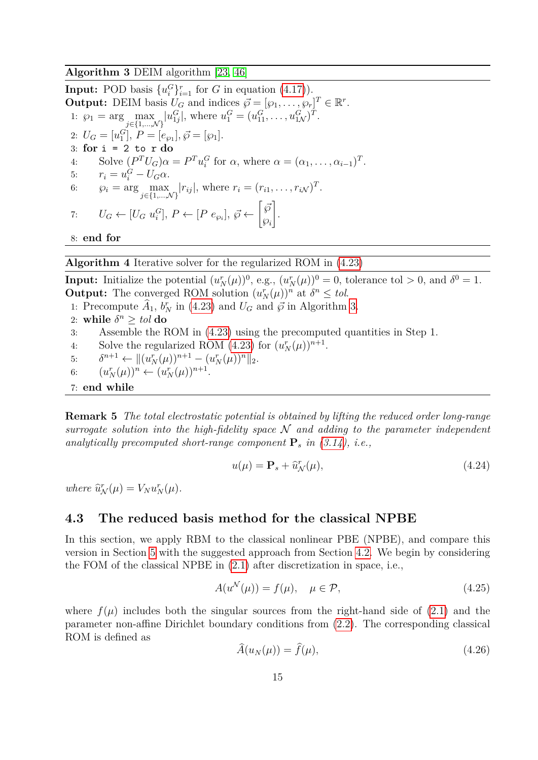<span id="page-14-1"></span>**Algorithm 3** DEIM algorithm [\[23,](#page-22-7) [46\]](#page-23-12)

**Input:** POD basis  $\{u_i^G\}_{i=1}^r$  for *G* in equation [\(4.17\)](#page-12-1)). **Output:** DEIM basis  $U_G$  and indices  $\vec{\wp} = [\wp_1, \ldots, \wp_r]^T \in \mathbb{R}^r$ . 1:  $\wp_1 = \arg \max_{j \in \{1, ..., \mathcal{N}\}} |u_{1j}^G|$ , where  $u_1^G = (u_{11}^G, \dots, u_{1N}^G)^T$ . 2:  $U_G = [u_1^G], P = [e_{\wp_1}], \vec{\wp} = [\wp_1].$ 3: **for** i = 2 to r **do** 4: Solve  $(P^T U_G) \alpha = P^T u_i^G$  for  $\alpha$ , where  $\alpha = (\alpha_1, \dots, \alpha_{i-1})^T$ . 5:  $r_i = u_i^G - U_G\alpha.$ 6:  $\varphi_i = \arg \max_{j \in \{1, ..., \mathcal{N}\}} |r_{ij}|, \text{ where } r_i = (r_{i1}, ..., r_{iN})^T.$ 7:  $U_G \leftarrow [U_G \ u_i^G], P \leftarrow [P \ e_{\wp_i}], \ \vec{\wp} \leftarrow$  $\lceil \bar{\wp} \rceil$ *℘i* 1 . 8: **end for**

<span id="page-14-0"></span>

**Algorithm 4** Iterative solver for the regularized ROM in [\(4.23\)](#page-13-1)

**Input:** Initialize the potential  $(u_N^r(\mu))^0$ , e.g.,  $(u_N^r(\mu))^0 = 0$ , tolerance tol > 0, and  $\delta^0 = 1$ . **Output:** The converged ROM solution  $(u_N^r(\mu))^n$  at  $\delta^n \leq tol$ .

1: Precompute  $\widehat{A}_1$ ,  $b_N^r$  in [\(4.23\)](#page-13-1) and  $U_G$  and  $\vec{\wp}$  in Algorithm [3.](#page-14-1)

2: while  $\delta^n \geq tol$  do

- 3: Assemble the ROM in [\(4.23\)](#page-13-1) using the precomputed quantities in Step 1.
- 4: Solve the regularized ROM [\(4.23\)](#page-13-1) for  $(u_N^r(\mu))^{n+1}$ .
- 5: *δ*  $n+1 \leftarrow \|(u_N^r(\mu))^{n+1} - (u_N^r(\mu))^n\|_2.$

6: 
$$
(u_N^r(\mu))^n \leftarrow (u_N^r(\mu))^{n+1}.
$$

7: **end while**

**Remark 5** *The total electrostatic potential is obtained by lifting the reduced order long-range surrogate solution into the high-fidelity space* N *and adding to the parameter independent analytically precomputed short-range component* **P***<sup>s</sup> in [\(3.14\)](#page-6-2), i.e.,*

$$
u(\mu) = \mathbf{P}_s + \hat{u}^r_{\mathcal{N}}(\mu), \tag{4.24}
$$

*where*  $\hat{u}_N^r(\mu) = V_N u_N^r(\mu)$ .

### **4.3 The reduced basis method for the classical NPBE**

In this section, we apply RBM to the classical nonlinear PBE (NPBE), and compare this version in Section [5](#page-15-0) with the suggested approach from Section [4.2.](#page-9-0) We begin by considering the FOM of the classical NPBE in [\(2.1\)](#page-2-0) after discretization in space, i.e.,

<span id="page-14-2"></span>
$$
A(u^{\mathcal{N}}(\mu)) = f(\mu), \quad \mu \in \mathcal{P}, \tag{4.25}
$$

where  $f(\mu)$  includes both the singular sources from the right-hand side of [\(2.1\)](#page-2-0) and the parameter non-affine Dirichlet boundary conditions from [\(2.2\)](#page-2-1). The corresponding classical ROM is defined as

$$
\hat{A}(u_N(\mu)) = \hat{f}(\mu),\tag{4.26}
$$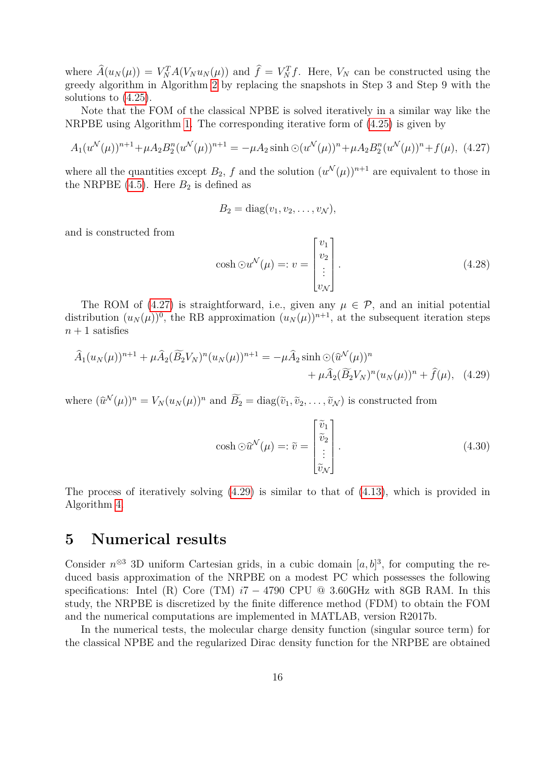where  $\hat{A}(u_N(\mu)) = V_N^T A(V_N u_N(\mu))$  and  $\hat{f} = V_N^T f$ . Here,  $V_N$  can be constructed using the greedy algorithm in Algorithm [2](#page-11-0) by replacing the snapshots in Step 3 and Step 9 with the solutions to [\(4.25\)](#page-14-2).

Note that the FOM of the classical NPBE is solved iteratively in a similar way like the NRPBE using Algorithm [1.](#page-10-0) The corresponding iterative form of [\(4.25\)](#page-14-2) is given by

<span id="page-15-1"></span>
$$
A_1(u^{\mathcal{N}}(\mu))^{n+1} + \mu A_2 B_2^n (u^{\mathcal{N}}(\mu))^{n+1} = -\mu A_2 \sinh \odot (u^{\mathcal{N}}(\mu))^n + \mu A_2 B_2^n (u^{\mathcal{N}}(\mu))^n + f(\mu), \tag{4.27}
$$

where all the quantities except  $B_2$ ,  $f$  and the solution  $(u^{\mathcal{N}}(\mu))^{n+1}$  are equivalent to those in the NRPBE  $(4.5)$ . Here  $B_2$  is defined as

$$
B_2 = \text{diag}(v_1, v_2, \dots, v_{\mathcal{N}}),
$$

and is constructed from

$$
\cosh \odot u^{\mathcal{N}}(\mu) =: v = \begin{bmatrix} v_1 \\ v_2 \\ \vdots \\ v_{\mathcal{N}} \end{bmatrix} . \tag{4.28}
$$

The ROM of [\(4.27\)](#page-15-1) is straightforward, i.e., given any  $\mu \in \mathcal{P}$ , and an initial potential distribution  $(u_N(\mu))^0$ , the RB approximation  $(u_N(\mu))^{n+1}$ , at the subsequent iteration steps  $n+1$  satisfies

$$
\hat{A}_1(u_N(\mu))^{n+1} + \mu \hat{A}_2(\widetilde{B}_2 V_N)^n (u_N(\mu))^{n+1} = -\mu \hat{A}_2 \sinh \odot (\widehat{u}^N(\mu))^n \n+ \mu \hat{A}_2(\widetilde{B}_2 V_N)^n (u_N(\mu))^n + \widehat{f}(\mu), \quad (4.29)
$$

where  $(\hat{u}^{\mathcal{N}}(\mu))^n = V_N(u_N(\mu))^n$  and  $\tilde{B}_2 = \text{diag}(\tilde{v}_1, \tilde{v}_2, \dots, \tilde{v}_N)$  is constructed from

<span id="page-15-2"></span>
$$
\cosh \odot \widehat{u}^{\mathcal{N}}(\mu) =: \widetilde{v} = \begin{bmatrix} \widetilde{v}_1 \\ \widetilde{v}_2 \\ \vdots \\ \widetilde{v}_{\mathcal{N}} \end{bmatrix} . \tag{4.30}
$$

The process of iteratively solving [\(4.29\)](#page-15-2) is similar to that of [\(4.13\)](#page-11-1), which is provided in Algorithm [4.](#page-14-0)

# <span id="page-15-0"></span>**5 Numerical results**

Consider  $n^{\otimes 3}$  3D uniform Cartesian grids, in a cubic domain [a, b]<sup>3</sup>, for computing the reduced basis approximation of the NRPBE on a modest PC which possesses the following specifications: Intel (R) Core (TM) *i*7 − 4790 CPU @ 3.60GHz with 8GB RAM. In this study, the NRPBE is discretized by the finite difference method (FDM) to obtain the FOM and the numerical computations are implemented in MATLAB, version R2017b.

In the numerical tests, the molecular charge density function (singular source term) for the classical NPBE and the regularized Dirac density function for the NRPBE are obtained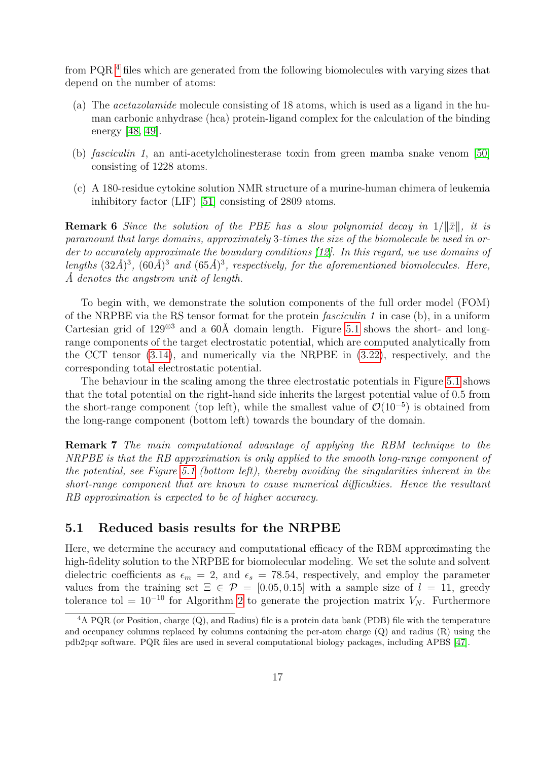from PQR  $^4$  $^4$  files which are generated from the following biomolecules with varying sizes that depend on the number of atoms:

- (a) The *acetazolamide* molecule consisting of 18 atoms, which is used as a ligand in the human carbonic anhydrase (hca) protein-ligand complex for the calculation of the binding energy [\[48,](#page-23-13) [49\]](#page-23-14).
- (b) *fasciculin 1*, an anti-acetylcholinesterase toxin from green mamba snake venom [\[50\]](#page-23-15) consisting of 1228 atoms.
- (c) A 180-residue cytokine solution NMR structure of a murine-human chimera of leukemia inhibitory factor (LIF) [\[51\]](#page-24-0) consisting of 2809 atoms.

**Remark 6** *Since the solution of the PBE has a slow polynomial decay in*  $1/||\bar{x}||$ , it is *paramount that large domains, approximately* 3*-times the size of the biomolecule be used in order to accurately approximate the boundary conditions [\[12\]](#page-21-11). In this regard, we use domains of* lengths  $(32\AA)^3$ ,  $(60\AA)^3$  and  $(65\AA)^3$ , respectively, for the aforementioned biomolecules. Here, *˚A denotes the angstrom unit of length.*

To begin with, we demonstrate the solution components of the full order model (FOM) of the NRPBE via the RS tensor format for the protein *fasciculin 1* in case (b), in a uniform Cartesian grid of 129<sup>⊗3</sup> and a 60Å domain length. Figure [5.1](#page-17-0) shows the short- and longrange components of the target electrostatic potential, which are computed analytically from the CCT tensor [\(3.14\)](#page-6-2), and numerically via the NRPBE in [\(3.22\)](#page-8-1), respectively, and the corresponding total electrostatic potential.

The behaviour in the scaling among the three electrostatic potentials in Figure [5.1](#page-17-0) shows that the total potential on the right-hand side inherits the largest potential value of 0*.*5 from the short-range component (top left), while the smallest value of  $\mathcal{O}(10^{-5})$  is obtained from the long-range component (bottom left) towards the boundary of the domain.

**Remark 7** *The main computational advantage of applying the RBM technique to the NRPBE is that the RB approximation is only applied to the smooth long-range component of the potential, see Figure [5.1](#page-17-0) (bottom left), thereby avoiding the singularities inherent in the short-range component that are known to cause numerical difficulties. Hence the resultant RB approximation is expected to be of higher accuracy.*

### <span id="page-16-1"></span>**5.1 Reduced basis results for the NRPBE**

Here, we determine the accuracy and computational efficacy of the RBM approximating the high-fidelity solution to the NRPBE for biomolecular modeling. We set the solute and solvent dielectric coefficients as  $\epsilon_m = 2$ , and  $\epsilon_s = 78.54$ , respectively, and employ the parameter values from the training set  $\Xi \in \mathcal{P} = [0.05, 0.15]$  with a sample size of  $l = 11$ , greedy tolerance tol =  $10^{-10}$  for Algorithm [2](#page-11-0) to generate the projection matrix *V<sub>N</sub>*. Furthermore

<span id="page-16-0"></span> $4A$  PQR (or Position, charge (Q), and Radius) file is a protein data bank (PDB) file with the temperature and occupancy columns replaced by columns containing the per-atom charge (Q) and radius (R) using the pdb2pqr software. PQR files are used in several computational biology packages, including APBS [\[47\]](#page-23-16).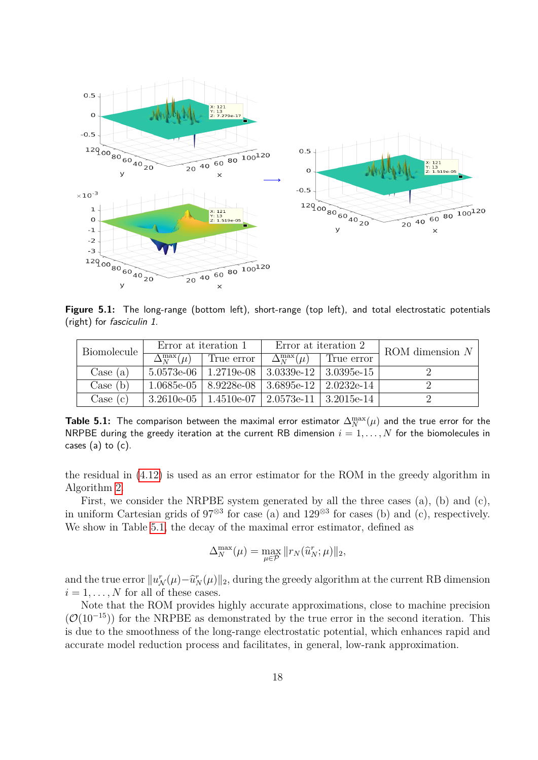<span id="page-17-0"></span>

Figure 5.1: The long-range (bottom left), short-range (top left), and total electrostatic potentials (right) for fasciculin 1.

<span id="page-17-1"></span>

| <b>Biomolecule</b> | Error at iteration 1   |                                                           | Error at iteration 2   |            | ROM dimension $N \mid$ |
|--------------------|------------------------|-----------------------------------------------------------|------------------------|------------|------------------------|
|                    | $\Delta_N^{\max}(\mu)$ | True error                                                | $\Delta_M^{\max}(\mu)$ | True error |                        |
| Case (a)           |                        | $5.0573e-06$   $1.2719e-08$   $3.0339e-12$   $3.0395e-15$ |                        |            |                        |
| Case (b)           |                        | $1.0685e-05$   $8.9228e-08$   $3.6895e-12$   $2.0232e-14$ |                        |            |                        |
| Case (c)           | $3.2610e-05$           | 1.4510e-07   2.0573e-11   3.2015e-14                      |                        |            |                        |

 ${\sf Table\ 5.1:}$  The comparison between the maximal error estimator  $\Delta_N^{\rm max}(\mu)$  and the true error for the NRPBE during the greedy iteration at the current RB dimension  $i = 1, ..., N$  for the biomolecules in cases  $(a)$  to  $(c)$ .

the residual in [\(4.12\)](#page-10-2) is used as an error estimator for the ROM in the greedy algorithm in Algorithm [2.](#page-11-0)

First, we consider the NRPBE system generated by all the three cases (a), (b) and (c), in uniform Cartesian grids of  $97^{\otimes 3}$  for case (a) and  $129^{\otimes 3}$  for cases (b) and (c), respectively. We show in Table [5.1,](#page-17-1) the decay of the maximal error estimator, defined as

$$
\Delta_N^{\max}(\mu) = \max_{\mu \in \mathcal{P}} \|r_N(\widehat{u}_N^r; \mu)\|_2,
$$

and the true error  $||u_N^r(\mu) - \hat{u}_N^r(\mu)||_2$ , during the greedy algorithm at the current RB dimension  $i = 1, \ldots, N$  for all of these cases.

Note that the ROM provides highly accurate approximations, close to machine precision  $(\mathcal{O}(10^{-15}))$  for the NRPBE as demonstrated by the true error in the second iteration. This is due to the smoothness of the long-range electrostatic potential, which enhances rapid and accurate model reduction process and facilitates, in general, low-rank approximation.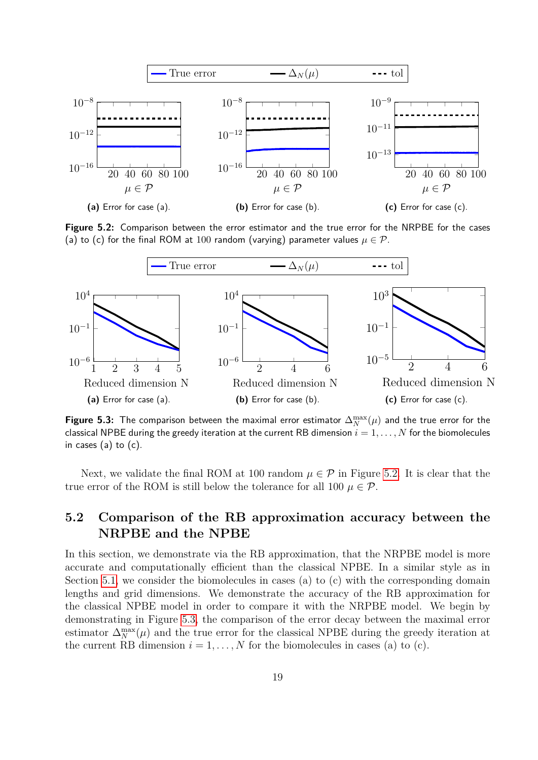<span id="page-18-0"></span>

**Figure 5.2:** Comparison between the error estimator and the true error for the NRPBE for the cases (a) to (c) for the final ROM at 100 random (varying) parameter values  $\mu \in \mathcal{P}$ .

<span id="page-18-1"></span>

Figure 5.3: The comparison between the maximal error estimator  $\Delta_N^{\rm max}(\mu)$  and the true error for the classical NPBE during the greedy iteration at the current RB dimension  $i = 1, \ldots, N$  for the biomolecules in cases  $(a)$  to  $(c)$ .

Next, we validate the final ROM at 100 random  $\mu \in \mathcal{P}$  in Figure [5.2.](#page-18-0) It is clear that the true error of the ROM is still below the tolerance for all 100  $\mu \in \mathcal{P}$ .

### **5.2 Comparison of the RB approximation accuracy between the NRPBE and the NPBE**

In this section, we demonstrate via the RB approximation, that the NRPBE model is more accurate and computationally efficient than the classical NPBE. In a similar style as in Section [5.1,](#page-16-1) we consider the biomolecules in cases (a) to (c) with the corresponding domain lengths and grid dimensions. We demonstrate the accuracy of the RB approximation for the classical NPBE model in order to compare it with the NRPBE model. We begin by demonstrating in Figure [5.3,](#page-18-1) the comparison of the error decay between the maximal error estimator  $\Delta_N^{\max}(\mu)$  and the true error for the classical NPBE during the greedy iteration at the current RB dimension  $i = 1, \ldots, N$  for the biomolecules in cases (a) to (c).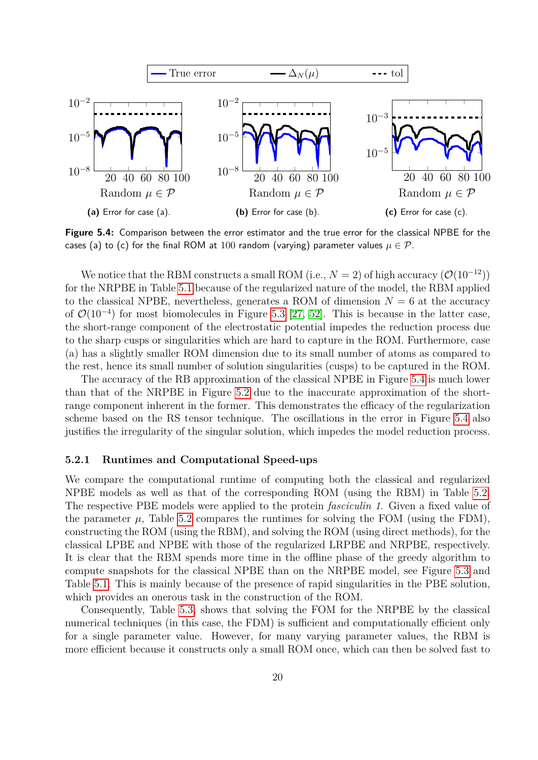<span id="page-19-0"></span>

**Figure 5.4:** Comparison between the error estimator and the true error for the classical NPBE for the cases (a) to (c) for the final ROM at 100 random (varying) parameter values  $\mu \in \mathcal{P}$ .

We notice that the RBM constructs a small ROM (i.e.,  $N = 2$ ) of high accuracy ( $\mathcal{O}(10^{-12})$ ) for the NRPBE in Table [5.1](#page-17-1) because of the regularized nature of the model, the RBM applied to the classical NPBE, nevertheless, generates a ROM of dimension  $N = 6$  at the accuracy of  $\mathcal{O}(10^{-4})$  for most biomolecules in Figure [5.3](#page-18-1) [\[27,](#page-22-11) [52\]](#page-24-1). This is because in the latter case, the short-range component of the electrostatic potential impedes the reduction process due to the sharp cusps or singularities which are hard to capture in the ROM. Furthermore, case (a) has a slightly smaller ROM dimension due to its small number of atoms as compared to the rest, hence its small number of solution singularities (cusps) to be captured in the ROM.

The accuracy of the RB approximation of the classical NPBE in Figure [5.4](#page-19-0) is much lower than that of the NRPBE in Figure [5.2](#page-18-0) due to the inaccurate approximation of the shortrange component inherent in the former. This demonstrates the efficacy of the regularization scheme based on the RS tensor technique. The oscillations in the error in Figure [5.4](#page-19-0) also justifies the irregularity of the singular solution, which impedes the model reduction process.

#### **5.2.1 Runtimes and Computational Speed-ups**

We compare the computational runtime of computing both the classical and regularized NPBE models as well as that of the corresponding ROM (using the RBM) in Table [5.2.](#page-20-0) The respective PBE models were applied to the protein *fasciculin 1*. Given a fixed value of the parameter  $\mu$ , Table [5.2](#page-20-0) compares the runtimes for solving the FOM (using the FDM), constructing the ROM (using the RBM), and solving the ROM (using direct methods), for the classical LPBE and NPBE with those of the regularized LRPBE and NRPBE, respectively. It is clear that the RBM spends more time in the offline phase of the greedy algorithm to compute snapshots for the classical NPBE than on the NRPBE model, see Figure [5.3](#page-18-1) and Table [5.1.](#page-17-1) This is mainly because of the presence of rapid singularities in the PBE solution, which provides an onerous task in the construction of the ROM.

Consequently, Table [5.3,](#page-20-1) shows that solving the FOM for the NRPBE by the classical numerical techniques (in this case, the FDM) is sufficient and computationally efficient only for a single parameter value. However, for many varying parameter values, the RBM is more efficient because it constructs only a small ROM once, which can then be solved fast to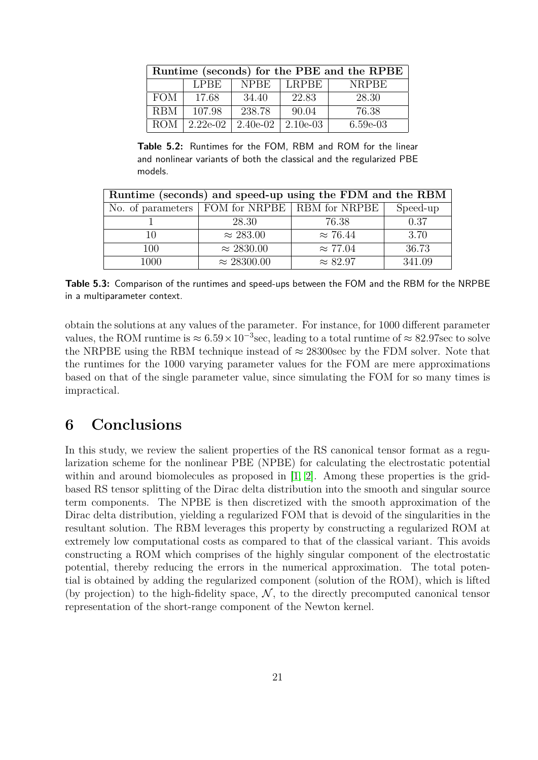<span id="page-20-0"></span>

| Runtime (seconds) for the PBE and the RPBE |             |             |             |              |  |  |  |
|--------------------------------------------|-------------|-------------|-------------|--------------|--|--|--|
|                                            | <b>LPBE</b> | <b>NPBE</b> | LRPBE       | <b>NRPBE</b> |  |  |  |
| <b>FOM</b>                                 | 17.68       | 34.40       | 22.83       | 28.30        |  |  |  |
| <b>RBM</b>                                 | 107.98      | 238.78      | 90.04       | 76.38        |  |  |  |
| <b>ROM</b>                                 | $2.22e-02$  | $2.40e-02$  | $2.10e-0.3$ | $6.59e-0.3$  |  |  |  |

**Table 5.2:** Runtimes for the FOM, RBM and ROM for the linear and nonlinear variants of both the classical and the regularized PBE models.

<span id="page-20-1"></span>

| Runtime (seconds) and speed-up using the FDM and the RBM |                    |                                                   |          |  |  |  |  |
|----------------------------------------------------------|--------------------|---------------------------------------------------|----------|--|--|--|--|
|                                                          |                    | No. of parameters   FOM for NRPBE   RBM for NRPBE | Speed-up |  |  |  |  |
|                                                          | 28.30              | 76.38                                             | 0.37     |  |  |  |  |
| 10                                                       | $\approx 283.00$   | $\approx 76.44$                                   | 3.70     |  |  |  |  |
| 100                                                      | $\approx 2830.00$  | $\approx 77.04$                                   | 36.73    |  |  |  |  |
| 1000                                                     | $\approx 28300.00$ | $\approx 82.97$                                   | 341.09   |  |  |  |  |

**Table 5.3:** Comparison of the runtimes and speed-ups between the FOM and the RBM for the NRPBE in a multiparameter context.

obtain the solutions at any values of the parameter. For instance, for 1000 different parameter values, the ROM runtime is  $\approx 6.59 \times 10^{-3}$  sec, leading to a total runtime of  $\approx 82.97$  sec to solve the NRPBE using the RBM technique instead of  $\approx 28300$  sec by the FDM solver. Note that the runtimes for the 1000 varying parameter values for the FOM are mere approximations based on that of the single parameter value, since simulating the FOM for so many times is impractical.

# **6 Conclusions**

In this study, we review the salient properties of the RS canonical tensor format as a regularization scheme for the nonlinear PBE (NPBE) for calculating the electrostatic potential within and around biomolecules as proposed in [\[1,](#page-21-0) [2\]](#page-21-1). Among these properties is the gridbased RS tensor splitting of the Dirac delta distribution into the smooth and singular source term components. The NPBE is then discretized with the smooth approximation of the Dirac delta distribution, yielding a regularized FOM that is devoid of the singularities in the resultant solution. The RBM leverages this property by constructing a regularized ROM at extremely low computational costs as compared to that of the classical variant. This avoids constructing a ROM which comprises of the highly singular component of the electrostatic potential, thereby reducing the errors in the numerical approximation. The total potential is obtained by adding the regularized component (solution of the ROM), which is lifted (by projection) to the high-fidelity space,  $\mathcal{N}$ , to the directly precomputed canonical tensor representation of the short-range component of the Newton kernel.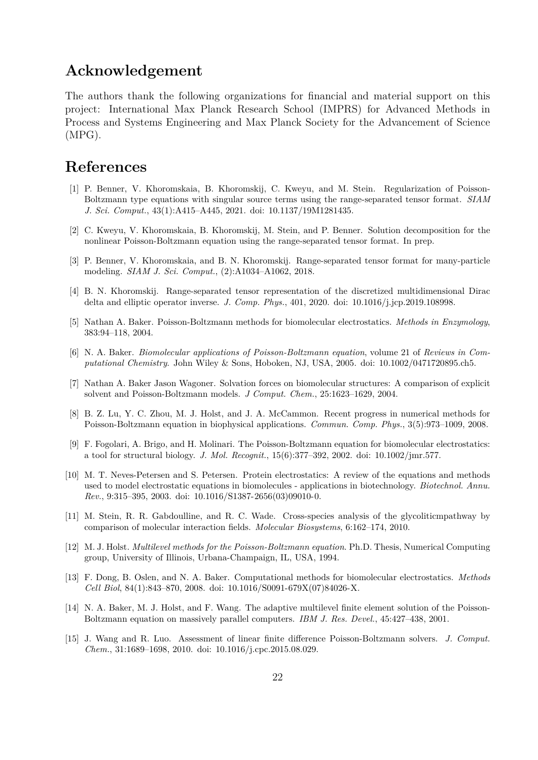# **Acknowledgement**

The authors thank the following organizations for financial and material support on this project: International Max Planck Research School (IMPRS) for Advanced Methods in Process and Systems Engineering and Max Planck Society for the Advancement of Science (MPG).

# **References**

- <span id="page-21-0"></span>[1] P. Benner, V. Khoromskaia, B. Khoromskij, C. Kweyu, and M. Stein. Regularization of Poisson-Boltzmann type equations with singular source terms using the range-separated tensor format. *SIAM J. Sci. Comput.*, 43(1):A415–A445, 2021. doi: 10.1137/19M1281435.
- <span id="page-21-1"></span>[2] C. Kweyu, V. Khoromskaia, B. Khoromskij, M. Stein, and P. Benner. Solution decomposition for the nonlinear Poisson-Boltzmann equation using the range-separated tensor format. In prep.
- <span id="page-21-2"></span>[3] P. Benner, V. Khoromskaia, and B. N. Khoromskij. Range-separated tensor format for many-particle modeling. *SIAM J. Sci. Comput.*, (2):A1034–A1062, 2018.
- <span id="page-21-3"></span>[4] B. N. Khoromskij. Range-separated tensor representation of the discretized multidimensional Dirac delta and elliptic operator inverse. *J. Comp. Phys.*, 401, 2020. doi: 10.1016/j.jcp.2019.108998.
- <span id="page-21-4"></span>[5] Nathan A. Baker. Poisson-Boltzmann methods for biomolecular electrostatics. *Methods in Enzymology*, 383:94–118, 2004.
- <span id="page-21-5"></span>[6] N. A. Baker. *Biomolecular applications of Poisson-Boltzmann equation*, volume 21 of *Reviews in Computational Chemistry*. John Wiley & Sons, Hoboken, NJ, USA, 2005. doi: 10.1002/0471720895.ch5.
- <span id="page-21-6"></span>[7] Nathan A. Baker Jason Wagoner. Solvation forces on biomolecular structures: A comparison of explicit solvent and Poisson-Boltzmann models. *J Comput. Chem.*, 25:1623–1629, 2004.
- <span id="page-21-7"></span>[8] B. Z. Lu, Y. C. Zhou, M. J. Holst, and J. A. McCammon. Recent progress in numerical methods for Poisson-Boltzmann equation in biophysical applications. *Commun. Comp. Phys.*, 3(5):973–1009, 2008.
- <span id="page-21-8"></span>[9] F. Fogolari, A. Brigo, and H. Molinari. The Poisson-Boltzmann equation for biomolecular electrostatics: a tool for structural biology. *J. Mol. Recognit.*, 15(6):377–392, 2002. doi: 10.1002/jmr.577.
- <span id="page-21-9"></span>[10] M. T. Neves-Petersen and S. Petersen. Protein electrostatics: A review of the equations and methods used to model electrostatic equations in biomolecules - applications in biotechnology. *Biotechnol. Annu. Rev.*, 9:315–395, 2003. doi: 10.1016/S1387-2656(03)09010-0.
- <span id="page-21-10"></span>[11] M. Stein, R. R. Gabdoulline, and R. C. Wade. Cross-species analysis of the glycoliticmpathway by comparison of molecular interaction fields. *Molecular Biosystems*, 6:162–174, 2010.
- <span id="page-21-11"></span>[12] M. J. Holst. *Multilevel methods for the Poisson-Boltzmann equation*. Ph.D. Thesis, Numerical Computing group, University of Illinois, Urbana-Champaign, IL, USA, 1994.
- <span id="page-21-12"></span>[13] F. Dong, B. Oslen, and N. A. Baker. Computational methods for biomolecular electrostatics. *Methods Cell Biol*, 84(1):843–870, 2008. doi: 10.1016/S0091-679X(07)84026-X.
- <span id="page-21-13"></span>[14] N. A. Baker, M. J. Holst, and F. Wang. The adaptive multilevel finite element solution of the Poisson-Boltzmann equation on massively parallel computers. *IBM J. Res. Devel.*, 45:427–438, 2001.
- <span id="page-21-14"></span>[15] J. Wang and R. Luo. Assessment of linear finite difference Poisson-Boltzmann solvers. *J. Comput. Chem.*, 31:1689–1698, 2010. doi: 10.1016/j.cpc.2015.08.029.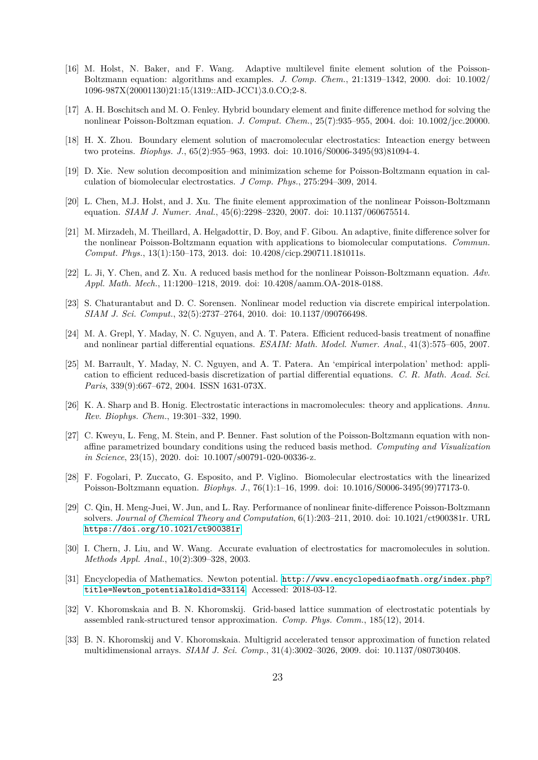- <span id="page-22-0"></span>[16] M. Holst, N. Baker, and F. Wang. Adaptive multilevel finite element solution of the Poisson-Boltzmann equation: algorithms and examples. *J. Comp. Chem.*, 21:1319–1342, 2000. doi: 10.1002/  $1096-987X(20001130)21:15\langle 1319::AID-JCC1\rangle 3.0.CO;2-8.$
- <span id="page-22-1"></span>[17] A. H. Boschitsch and M. O. Fenley. Hybrid boundary element and finite difference method for solving the nonlinear Poisson-Boltzman equation. *J. Comput. Chem.*, 25(7):935–955, 2004. doi: 10.1002/jcc.20000.
- <span id="page-22-2"></span>[18] H. X. Zhou. Boundary element solution of macromolecular electrostatics: Inteaction energy between two proteins. *Biophys. J.*, 65(2):955–963, 1993. doi: 10.1016/S0006-3495(93)81094-4.
- <span id="page-22-3"></span>[19] D. Xie. New solution decomposition and minimization scheme for Poisson-Boltzmann equation in calculation of biomolecular electrostatics. *J Comp. Phys.*, 275:294–309, 2014.
- <span id="page-22-4"></span>[20] L. Chen, M.J. Holst, and J. Xu. The finite element approximation of the nonlinear Poisson-Boltzmann equation. *SIAM J. Numer. Anal.*, 45(6):2298–2320, 2007. doi: 10.1137/060675514.
- <span id="page-22-5"></span>[21] M. Mirzadeh, M. Theillard, A. Helgadottir, D. Boy, and F. Gibou. An adaptive, finite difference solver for the nonlinear Poisson-Boltzmann equation with applications to biomolecular computations. *Commun. Comput. Phys.*, 13(1):150–173, 2013. doi: 10.4208/cicp.290711.181011s.
- <span id="page-22-6"></span>[22] L. Ji, Y. Chen, and Z. Xu. A reduced basis method for the nonlinear Poisson-Boltzmann equation. *Adv. Appl. Math. Mech.*, 11:1200–1218, 2019. doi: 10.4208/aamm.OA-2018-0188.
- <span id="page-22-7"></span>[23] S. Chaturantabut and D. C. Sorensen. Nonlinear model reduction via discrete empirical interpolation. *SIAM J. Sci. Comput.*, 32(5):2737–2764, 2010. doi: 10.1137/090766498.
- <span id="page-22-8"></span>[24] M. A. Grepl, Y. Maday, N. C. Nguyen, and A. T. Patera. Efficient reduced-basis treatment of nonaffine and nonlinear partial differential equations. *ESAIM: Math. Model. Numer. Anal.*, 41(3):575–605, 2007.
- <span id="page-22-9"></span>[25] M. Barrault, Y. Maday, N. C. Nguyen, and A. T. Patera. An 'empirical interpolation' method: application to efficient reduced-basis discretization of partial differential equations. *C. R. Math. Acad. Sci. Paris*, 339(9):667–672, 2004. ISSN 1631-073X.
- <span id="page-22-10"></span>[26] K. A. Sharp and B. Honig. Electrostatic interactions in macromolecules: theory and applications. *Annu. Rev. Biophys. Chem.*, 19:301–332, 1990.
- <span id="page-22-11"></span>[27] C. Kweyu, L. Feng, M. Stein, and P. Benner. Fast solution of the Poisson-Boltzmann equation with nonaffine parametrized boundary conditions using the reduced basis method. *Computing and Visualization in Science*, 23(15), 2020. doi: 10.1007/s00791-020-00336-z.
- <span id="page-22-12"></span>[28] F. Fogolari, P. Zuccato, G. Esposito, and P. Viglino. Biomolecular electrostatics with the linearized Poisson-Boltzmann equation. *Biophys. J.*, 76(1):1–16, 1999. doi: 10.1016/S0006-3495(99)77173-0.
- <span id="page-22-13"></span>[29] C. Qin, H. Meng-Juei, W. Jun, and L. Ray. Performance of nonlinear finite-difference Poisson-Boltzmann solvers. *Journal of Chemical Theory and Computation*, 6(1):203–211, 2010. doi: 10.1021/ct900381r. URL <https://doi.org/10.1021/ct900381r>.
- <span id="page-22-14"></span>[30] I. Chern, J. Liu, and W. Wang. Accurate evaluation of electrostatics for macromolecules in solution. *Methods Appl. Anal.*, 10(2):309–328, 2003.
- <span id="page-22-15"></span>[31] Encyclopedia of Mathematics. Newton potential. [http://www.encyclopediaofmath.org/index.php?](http://www.encyclopediaofmath.org/index.php?title=Newton_potential&oldid=33114) [title=Newton\\_potential&oldid=33114](http://www.encyclopediaofmath.org/index.php?title=Newton_potential&oldid=33114). Accessed: 2018-03-12.
- <span id="page-22-16"></span>[32] V. Khoromskaia and B. N. Khoromskij. Grid-based lattice summation of electrostatic potentials by assembled rank-structured tensor approximation. *Comp. Phys. Comm.*, 185(12), 2014.
- <span id="page-22-17"></span>[33] B. N. Khoromskij and V. Khoromskaia. Multigrid accelerated tensor approximation of function related multidimensional arrays. *SIAM J. Sci. Comp.*, 31(4):3002–3026, 2009. doi: 10.1137/080730408.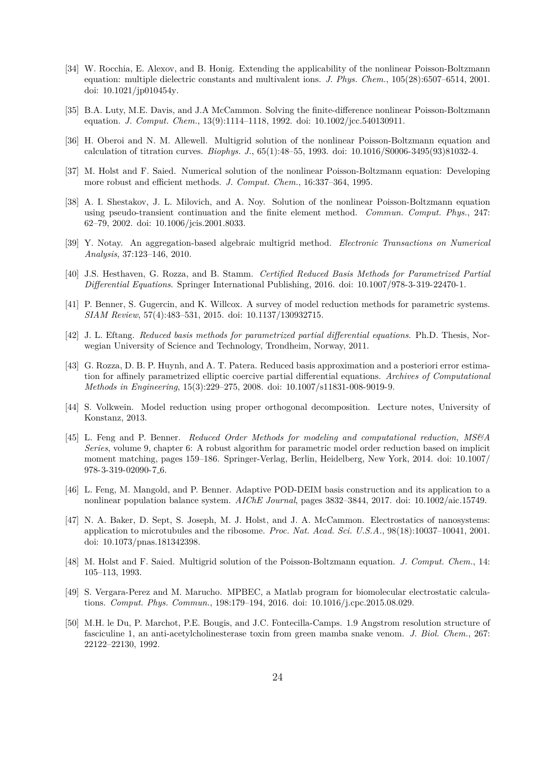- <span id="page-23-0"></span>[34] W. Rocchia, E. Alexov, and B. Honig. Extending the applicability of the nonlinear Poisson-Boltzmann equation: multiple dielectric constants and multivalent ions. *J. Phys. Chem.*, 105(28):6507–6514, 2001. doi: 10.1021/jp010454y.
- <span id="page-23-1"></span>[35] B.A. Luty, M.E. Davis, and J.A McCammon. Solving the finite-difference nonlinear Poisson-Boltzmann equation. *J. Comput. Chem.*, 13(9):1114–1118, 1992. doi: 10.1002/jcc.540130911.
- <span id="page-23-2"></span>[36] H. Oberoi and N. M. Allewell. Multigrid solution of the nonlinear Poisson-Boltzmann equation and calculation of titration curves. *Biophys. J.*, 65(1):48–55, 1993. doi: 10.1016/S0006-3495(93)81032-4.
- <span id="page-23-3"></span>[37] M. Holst and F. Saied. Numerical solution of the nonlinear Poisson-Boltzmann equation: Developing more robust and efficient methods. *J. Comput. Chem.*, 16:337–364, 1995.
- <span id="page-23-4"></span>[38] A. I. Shestakov, J. L. Milovich, and A. Noy. Solution of the nonlinear Poisson-Boltzmann equation using pseudo-transient continuation and the finite element method. *Commun. Comput. Phys.*, 247: 62–79, 2002. doi: 10.1006/jcis.2001.8033.
- <span id="page-23-5"></span>[39] Y. Notay. An aggregation-based algebraic multigrid method. *Electronic Transactions on Numerical Analysis*, 37:123–146, 2010.
- <span id="page-23-6"></span>[40] J.S. Hesthaven, G. Rozza, and B. Stamm. *Certified Reduced Basis Methods for Parametrized Partial Differential Equations*. Springer International Publishing, 2016. doi: 10.1007/978-3-319-22470-1.
- <span id="page-23-7"></span>[41] P. Benner, S. Gugercin, and K. Willcox. A survey of model reduction methods for parametric systems. *SIAM Review*, 57(4):483–531, 2015. doi: 10.1137/130932715.
- <span id="page-23-8"></span>[42] J. L. Eftang. *Reduced basis methods for parametrized partial differential equations*. Ph.D. Thesis, Norwegian University of Science and Technology, Trondheim, Norway, 2011.
- <span id="page-23-9"></span>[43] G. Rozza, D. B. P. Huynh, and A. T. Patera. Reduced basis approximation and a posteriori error estimation for affinely parametrized elliptic coercive partial differential equations. *Archives of Computational Methods in Engineering*, 15(3):229–275, 2008. doi: 10.1007/s11831-008-9019-9.
- <span id="page-23-10"></span>[44] S. Volkwein. Model reduction using proper orthogonal decomposition. Lecture notes, University of Konstanz, 2013.
- <span id="page-23-11"></span>[45] L. Feng and P. Benner. *Reduced Order Methods for modeling and computational reduction, MS&A Series*, volume 9, chapter 6: A robust algorithm for parametric model order reduction based on implicit moment matching, pages 159–186. Springer-Verlag, Berlin, Heidelberg, New York, 2014. doi: 10.1007/ 978-3-319-02090-7 6.
- <span id="page-23-12"></span>[46] L. Feng, M. Mangold, and P. Benner. Adaptive POD-DEIM basis construction and its application to a nonlinear population balance system. *AIChE Journal*, pages 3832–3844, 2017. doi: 10.1002/aic.15749.
- <span id="page-23-16"></span>[47] N. A. Baker, D. Sept, S. Joseph, M. J. Holst, and J. A. McCammon. Electrostatics of nanosystems: application to microtubules and the ribosome. *Proc. Nat. Acad. Sci. U.S.A.*, 98(18):10037–10041, 2001. doi: 10.1073/pnas.181342398.
- <span id="page-23-13"></span>[48] M. Holst and F. Saied. Multigrid solution of the Poisson-Boltzmann equation. *J. Comput. Chem.*, 14: 105–113, 1993.
- <span id="page-23-14"></span>[49] S. Vergara-Perez and M. Marucho. MPBEC, a Matlab program for biomolecular electrostatic calculations. *Comput. Phys. Commun.*, 198:179–194, 2016. doi: 10.1016/j.cpc.2015.08.029.
- <span id="page-23-15"></span>[50] M.H. le Du, P. Marchot, P.E. Bougis, and J.C. Fontecilla-Camps. 1.9 Angstrom resolution structure of fasciculine 1, an anti-acetylcholinesterase toxin from green mamba snake venom. *J. Biol. Chem.*, 267: 22122–22130, 1992.